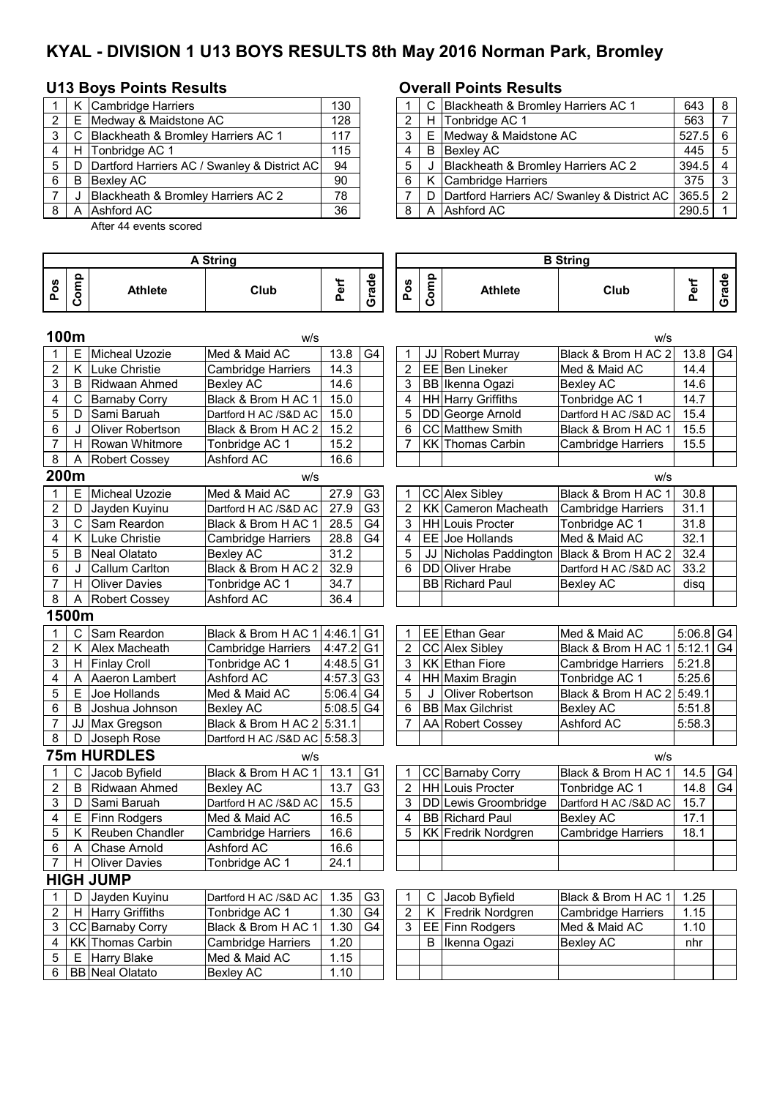# **KYAL - DIVISION 1 U13 BOYS RESULTS 8th May 2016 Norman Park, Bromley**

## **U13 Boys Points Results**  Overall Points Results

|     |   | K Cambridge Harriers                         | 130 |   | C Blackheath & Bromley Harriers AC 1     |
|-----|---|----------------------------------------------|-----|---|------------------------------------------|
| 2   | Е | Medway & Maidstone AC                        | 128 | ົ | H Tonbridge AC 1                         |
| 3   | C | Blackheath & Bromley Harriers AC 1           | 117 | 3 | E Medway & Maidstone AC                  |
|     |   | H Tonbridge AC 1                             | 115 | 4 | <b>B</b> Bexley AC                       |
| 5   | D | Dartford Harriers AC / Swanley & District AC | 94  | 5 | Blackheath & Bromley Harriers AC 2       |
| 6   | B | Bexley AC                                    | 90  | 6 | K Cambridge Harriers                     |
|     |   | Blackheath & Bromley Harriers AC 2           | 78  |   | D   Dartford Harriers AC/ Swanley & Dist |
| . 8 | A | Ashford AC                                   | 36  | 8 | A Ashford AC                             |
|     |   |                                              |     |   |                                          |

After 44 events scored

|   |       | K Cambridge Harriers                         | 130 |  | C Blackheath & Bromley Harriers AC 1            | 643   | 8   |
|---|-------|----------------------------------------------|-----|--|-------------------------------------------------|-------|-----|
|   | 2 E   | Medway & Maidstone AC                        | 128 |  | H Tonbridge AC 1                                | 563   |     |
|   |       | 3   C   Blackheath & Bromley Harriers AC 1   | 117 |  | E Medway & Maidstone AC                         | 527.5 | - 6 |
| 4 | H     | Tonbridge AC 1                               | 115 |  | <b>B</b> Bexley AC                              | 445   | 5   |
|   | 5   D | Dartford Harriers AC / Swanley & District AC | 94  |  | Blackheath & Bromley Harriers AC 2              | 394.5 |     |
| 6 | B     | Bexley AC                                    | 90  |  | K Cambridge Harriers                            | 375   |     |
|   |       | Blackheath & Bromley Harriers AC 2           | 78  |  | D   Dartford Harriers AC/ Swanley & District AC | 365.5 | ່າ  |
| 8 |       | Ashford AC                                   | 36  |  | A Ashford AC                                    | 290.5 |     |

| Grade<br>Grade<br>Comp<br>Comp<br>Perf<br>Perf<br>Pos<br>Pos<br>Club<br>Club<br><b>Athlete</b><br><b>Athlete</b><br>100m<br>w/s<br>w/s<br>Med & Maid AC<br>Micheal Uzozie<br>13.8<br>G <sub>4</sub><br>JJ Robert Murray<br>Black & Brom H AC 2<br>13.8<br>Е<br>1<br>1<br>$\overline{c}$<br>$\overline{2}$<br>K Luke Christie<br>14.3<br>EE Ben Lineker<br>Cambridge Harriers<br>Med & Maid AC<br>14.4<br>3<br>14.6<br>3<br>14.6<br>B<br>Ridwaan Ahmed<br><b>Bexley AC</b><br>BB Ikenna Ogazi<br><b>Bexley AC</b><br>Black & Brom H AC 1<br>15.0<br>4<br>C<br>4<br>HH Harry Griffiths<br>Tonbridge AC 1<br>14.7<br><b>Barnaby Corry</b><br>5<br>Sami Baruah<br>5<br>15.0<br>DD George Arnold<br>15.4<br>D<br>Dartford H AC /S&D AC<br>Dartford H AC /S&D AC<br>CC Matthew Smith<br>15.5<br>6<br>Oliver Robertson<br>Black & Brom H AC 2<br>15.2<br>6<br>Black & Brom H AC 1<br>$\overline{7}$<br>15.2<br>7<br>Rowan Whitmore<br><b>KK Thomas Carbin</b><br>15.5<br>H.<br>Tonbridge AC 1<br><b>Cambridge Harriers</b><br>Ashford AC<br>16.6<br>8<br><b>Robert Cossey</b><br>Α<br>200m<br>W/S<br>w/s<br>E<br>Micheal Uzozie<br>Med & Maid AC<br>27.9<br>G <sub>3</sub><br>CC Alex Sibley<br>Black & Brom H AC 1<br>30.8<br>1<br>1<br>$\overline{G}$<br>2<br>27.9<br>$\overline{2}$<br>KK Cameron Macheath<br>31.1<br>D<br><b>Cambridge Harriers</b><br>Jayden Kuyinu<br>Dartford H AC /S&D AC<br>3<br>$\mathsf{C}$<br>Sam Reardon<br>28.5<br>G <sub>4</sub><br>3<br>HH Louis Procter<br>Black & Brom H AC 1<br>Tonbridge AC 1<br>31.8<br>EE Joe Hollands<br>K.<br>Luke Christie<br>28.8<br>G <sub>4</sub><br>Med & Maid AC<br>32.1<br>4<br><b>Cambridge Harriers</b><br>4<br>5<br>31.2<br>5<br>Neal Olatato<br>JJ Nicholas Paddington<br>Black & Brom H AC 2<br>32.4<br>B<br><b>Bexley AC</b><br>Black & Brom H AC 2<br>33.2<br>6<br>32.9<br><b>DD</b> Oliver Hrabe<br>Callum Carlton<br>6<br>Dartford H AC /S&D AC<br>$\overline{7}$<br>H.<br><b>Oliver Davies</b><br>Tonbridge AC 1<br>34.7<br><b>BB</b> Richard Paul<br><b>Bexley AC</b><br>disq<br>Ashford AC<br>36.4<br>8<br>Α<br><b>Robert Cossey</b><br>1500m<br>Sam Reardon<br>Black & Brom H AC 1<br>4:46.1<br>G <sub>1</sub><br>EE Ethan Gear<br>Med & Maid AC<br>5:06.8<br>C I<br>1<br>1<br>$\overline{c}$<br>5:12.1<br>K Alex Macheath<br>4:47.2<br>G <sub>1</sub><br>$\overline{2}$<br>CC Alex Sibley<br>Black & Brom H AC 1<br><b>Cambridge Harriers</b><br>3<br>3<br><b>KK</b> Ethan Fiore<br>5:21.8<br>H Finlay Croll<br>4:48.5<br><b>Cambridge Harriers</b><br>Tonbridge AC 1<br>G <sub>1</sub><br>Aaeron Lambert<br>Ashford AC<br>4:57.3<br>Tonbridge AC 1<br>5:25.6<br>4<br>G <sub>3</sub><br>HH Maxim Bragin<br>A<br>4<br>5<br>Joe Hollands<br>Med & Maid AC<br>5:06.4<br>G <sub>4</sub><br>5<br>Black & Brom H AC 2<br>5:49.1<br>Е<br><b>Oliver Robertson</b><br>$5:08.5$ G4<br>6<br>6<br><b>BB</b> Max Gilchrist<br>5:51.8<br>B<br>Joshua Johnson<br><b>Bexley AC</b><br><b>Bexley AC</b><br>Black & Brom H AC 2<br>7<br>Ashford AC<br>5:58.3<br>JJ Max Gregson<br>5:31.1<br>7<br>AA Robert Cossey<br>8<br>D<br>Joseph Rose<br>Dartford H AC /S&D AC 5:58.3<br><b>75m HURDLES</b><br>w/s<br>w/s<br>С<br>13.1<br>G <sub>1</sub><br>CC Barnaby Corry<br>14.5<br>1<br>Jacob Byfield<br>Black & Brom H AC 1<br>Black & Brom H AC 1<br>1<br>2<br>Ridwaan Ahmed<br>13.7<br>G <sub>3</sub><br>$\overline{2}$<br><b>HH</b> Louis Procter<br>B<br><b>Bexley AC</b><br>Tonbridge AC 1<br>14.8<br>15.5<br>15.7<br>3<br>Sami Baruah<br>Dartford H AC /S&D AC<br>3<br>DD Lewis Groombridge<br>D<br>Dartford H AC /S&D AC<br>4<br>Med & Maid AC<br>16.5<br><b>BB</b> Richard Paul<br>4<br><b>Bexley AC</b><br>17.1<br>Е<br>Finn Rodgers<br>5<br>Κ<br>Reuben Chandler<br>5<br>KK Fredrik Nordgren<br>18.1<br>16.6<br><b>Cambridge Harriers</b><br><b>Cambridge Harriers</b><br>Chase Arnold<br><b>Ashford AC</b><br>16.6<br>6<br>A<br><b>Oliver Davies</b><br>Tonbridge AC 1<br>24.1<br>7<br>H.<br><b>HIGH JUMP</b><br>Jayden Kuyinu<br>1.35<br>G <sub>3</sub><br>Jacob Byfield<br>Black & Brom H AC 1<br>1.25<br>1<br>D<br>Dartford H AC /S&D AC<br>C.<br>1<br>$\overline{\mathbf{c}}$<br>Tonbridge AC 1<br>G4<br>$\overline{2}$<br>K Fredrik Nordgren<br>H Harry Griffiths<br>1.30<br><b>Cambridge Harriers</b><br>1.15<br>G4<br>$\sqrt{3}$<br>3<br>CC Barnaby Corry<br>Black & Brom H AC 1<br>1.30<br>EE Finn Rodgers<br>Med & Maid AC<br>1.10<br>KK Thomas Carbin<br>1.20<br>Ikenna Ogazi<br><b>Bexley AC</b><br><b>Cambridge Harriers</b><br>4<br>В<br>nhr<br>5<br><b>Harry Blake</b><br>Med & Maid AC<br>1.15<br>Е<br><b>BB</b> Neal Olatato<br>1.10<br>6<br><b>Bexley AC</b> |  |  |  | <b>A String</b> |  |  |  |  | <b>B</b> String |  |  |  |  |  |  |
|-----------------------------------------------------------------------------------------------------------------------------------------------------------------------------------------------------------------------------------------------------------------------------------------------------------------------------------------------------------------------------------------------------------------------------------------------------------------------------------------------------------------------------------------------------------------------------------------------------------------------------------------------------------------------------------------------------------------------------------------------------------------------------------------------------------------------------------------------------------------------------------------------------------------------------------------------------------------------------------------------------------------------------------------------------------------------------------------------------------------------------------------------------------------------------------------------------------------------------------------------------------------------------------------------------------------------------------------------------------------------------------------------------------------------------------------------------------------------------------------------------------------------------------------------------------------------------------------------------------------------------------------------------------------------------------------------------------------------------------------------------------------------------------------------------------------------------------------------------------------------------------------------------------------------------------------------------------------------------------------------------------------------------------------------------------------------------------------------------------------------------------------------------------------------------------------------------------------------------------------------------------------------------------------------------------------------------------------------------------------------------------------------------------------------------------------------------------------------------------------------------------------------------------------------------------------------------------------------------------------------------------------------------------------------------------------------------------------------------------------------------------------------------------------------------------------------------------------------------------------------------------------------------------------------------------------------------------------------------------------------------------------------------------------------------------------------------------------------------------------------------------------------------------------------------------------------------------------------------------------------------------------------------------------------------------------------------------------------------------------------------------------------------------------------------------------------------------------------------------------------------------------------------------------------------------------------------------------------------------------------------------------------------------------------------------------------------------------------------------------------------------------------------------------------------------------------------------------------------------------------------------------------------------------------------------------------------------------------------------------------------------------------------------------------------------------------------------------------------------------------------------------------------------------------------------------------------------------------------------------------------------------------------------------------------------------------------------------------------------------------------------------------------------------------------------------------------------------------------------------------------------------------------------------------------------------------------------------------------------------------------------------|--|--|--|-----------------|--|--|--|--|-----------------|--|--|--|--|--|--|
| G4<br>G <sub>4</sub><br>G4<br>G4                                                                                                                                                                                                                                                                                                                                                                                                                                                                                                                                                                                                                                                                                                                                                                                                                                                                                                                                                                                                                                                                                                                                                                                                                                                                                                                                                                                                                                                                                                                                                                                                                                                                                                                                                                                                                                                                                                                                                                                                                                                                                                                                                                                                                                                                                                                                                                                                                                                                                                                                                                                                                                                                                                                                                                                                                                                                                                                                                                                                                                                                                                                                                                                                                                                                                                                                                                                                                                                                                                                                                                                                                                                                                                                                                                                                                                                                                                                                                                                                                                                                                                                                                                                                                                                                                                                                                                                                                                                                                                                                                                                                        |  |  |  |                 |  |  |  |  |                 |  |  |  |  |  |  |
|                                                                                                                                                                                                                                                                                                                                                                                                                                                                                                                                                                                                                                                                                                                                                                                                                                                                                                                                                                                                                                                                                                                                                                                                                                                                                                                                                                                                                                                                                                                                                                                                                                                                                                                                                                                                                                                                                                                                                                                                                                                                                                                                                                                                                                                                                                                                                                                                                                                                                                                                                                                                                                                                                                                                                                                                                                                                                                                                                                                                                                                                                                                                                                                                                                                                                                                                                                                                                                                                                                                                                                                                                                                                                                                                                                                                                                                                                                                                                                                                                                                                                                                                                                                                                                                                                                                                                                                                                                                                                                                                                                                                                                         |  |  |  |                 |  |  |  |  |                 |  |  |  |  |  |  |
|                                                                                                                                                                                                                                                                                                                                                                                                                                                                                                                                                                                                                                                                                                                                                                                                                                                                                                                                                                                                                                                                                                                                                                                                                                                                                                                                                                                                                                                                                                                                                                                                                                                                                                                                                                                                                                                                                                                                                                                                                                                                                                                                                                                                                                                                                                                                                                                                                                                                                                                                                                                                                                                                                                                                                                                                                                                                                                                                                                                                                                                                                                                                                                                                                                                                                                                                                                                                                                                                                                                                                                                                                                                                                                                                                                                                                                                                                                                                                                                                                                                                                                                                                                                                                                                                                                                                                                                                                                                                                                                                                                                                                                         |  |  |  |                 |  |  |  |  |                 |  |  |  |  |  |  |
| G4                                                                                                                                                                                                                                                                                                                                                                                                                                                                                                                                                                                                                                                                                                                                                                                                                                                                                                                                                                                                                                                                                                                                                                                                                                                                                                                                                                                                                                                                                                                                                                                                                                                                                                                                                                                                                                                                                                                                                                                                                                                                                                                                                                                                                                                                                                                                                                                                                                                                                                                                                                                                                                                                                                                                                                                                                                                                                                                                                                                                                                                                                                                                                                                                                                                                                                                                                                                                                                                                                                                                                                                                                                                                                                                                                                                                                                                                                                                                                                                                                                                                                                                                                                                                                                                                                                                                                                                                                                                                                                                                                                                                                                      |  |  |  |                 |  |  |  |  |                 |  |  |  |  |  |  |
|                                                                                                                                                                                                                                                                                                                                                                                                                                                                                                                                                                                                                                                                                                                                                                                                                                                                                                                                                                                                                                                                                                                                                                                                                                                                                                                                                                                                                                                                                                                                                                                                                                                                                                                                                                                                                                                                                                                                                                                                                                                                                                                                                                                                                                                                                                                                                                                                                                                                                                                                                                                                                                                                                                                                                                                                                                                                                                                                                                                                                                                                                                                                                                                                                                                                                                                                                                                                                                                                                                                                                                                                                                                                                                                                                                                                                                                                                                                                                                                                                                                                                                                                                                                                                                                                                                                                                                                                                                                                                                                                                                                                                                         |  |  |  |                 |  |  |  |  |                 |  |  |  |  |  |  |
|                                                                                                                                                                                                                                                                                                                                                                                                                                                                                                                                                                                                                                                                                                                                                                                                                                                                                                                                                                                                                                                                                                                                                                                                                                                                                                                                                                                                                                                                                                                                                                                                                                                                                                                                                                                                                                                                                                                                                                                                                                                                                                                                                                                                                                                                                                                                                                                                                                                                                                                                                                                                                                                                                                                                                                                                                                                                                                                                                                                                                                                                                                                                                                                                                                                                                                                                                                                                                                                                                                                                                                                                                                                                                                                                                                                                                                                                                                                                                                                                                                                                                                                                                                                                                                                                                                                                                                                                                                                                                                                                                                                                                                         |  |  |  |                 |  |  |  |  |                 |  |  |  |  |  |  |
|                                                                                                                                                                                                                                                                                                                                                                                                                                                                                                                                                                                                                                                                                                                                                                                                                                                                                                                                                                                                                                                                                                                                                                                                                                                                                                                                                                                                                                                                                                                                                                                                                                                                                                                                                                                                                                                                                                                                                                                                                                                                                                                                                                                                                                                                                                                                                                                                                                                                                                                                                                                                                                                                                                                                                                                                                                                                                                                                                                                                                                                                                                                                                                                                                                                                                                                                                                                                                                                                                                                                                                                                                                                                                                                                                                                                                                                                                                                                                                                                                                                                                                                                                                                                                                                                                                                                                                                                                                                                                                                                                                                                                                         |  |  |  |                 |  |  |  |  |                 |  |  |  |  |  |  |
|                                                                                                                                                                                                                                                                                                                                                                                                                                                                                                                                                                                                                                                                                                                                                                                                                                                                                                                                                                                                                                                                                                                                                                                                                                                                                                                                                                                                                                                                                                                                                                                                                                                                                                                                                                                                                                                                                                                                                                                                                                                                                                                                                                                                                                                                                                                                                                                                                                                                                                                                                                                                                                                                                                                                                                                                                                                                                                                                                                                                                                                                                                                                                                                                                                                                                                                                                                                                                                                                                                                                                                                                                                                                                                                                                                                                                                                                                                                                                                                                                                                                                                                                                                                                                                                                                                                                                                                                                                                                                                                                                                                                                                         |  |  |  |                 |  |  |  |  |                 |  |  |  |  |  |  |
|                                                                                                                                                                                                                                                                                                                                                                                                                                                                                                                                                                                                                                                                                                                                                                                                                                                                                                                                                                                                                                                                                                                                                                                                                                                                                                                                                                                                                                                                                                                                                                                                                                                                                                                                                                                                                                                                                                                                                                                                                                                                                                                                                                                                                                                                                                                                                                                                                                                                                                                                                                                                                                                                                                                                                                                                                                                                                                                                                                                                                                                                                                                                                                                                                                                                                                                                                                                                                                                                                                                                                                                                                                                                                                                                                                                                                                                                                                                                                                                                                                                                                                                                                                                                                                                                                                                                                                                                                                                                                                                                                                                                                                         |  |  |  |                 |  |  |  |  |                 |  |  |  |  |  |  |
|                                                                                                                                                                                                                                                                                                                                                                                                                                                                                                                                                                                                                                                                                                                                                                                                                                                                                                                                                                                                                                                                                                                                                                                                                                                                                                                                                                                                                                                                                                                                                                                                                                                                                                                                                                                                                                                                                                                                                                                                                                                                                                                                                                                                                                                                                                                                                                                                                                                                                                                                                                                                                                                                                                                                                                                                                                                                                                                                                                                                                                                                                                                                                                                                                                                                                                                                                                                                                                                                                                                                                                                                                                                                                                                                                                                                                                                                                                                                                                                                                                                                                                                                                                                                                                                                                                                                                                                                                                                                                                                                                                                                                                         |  |  |  |                 |  |  |  |  |                 |  |  |  |  |  |  |
|                                                                                                                                                                                                                                                                                                                                                                                                                                                                                                                                                                                                                                                                                                                                                                                                                                                                                                                                                                                                                                                                                                                                                                                                                                                                                                                                                                                                                                                                                                                                                                                                                                                                                                                                                                                                                                                                                                                                                                                                                                                                                                                                                                                                                                                                                                                                                                                                                                                                                                                                                                                                                                                                                                                                                                                                                                                                                                                                                                                                                                                                                                                                                                                                                                                                                                                                                                                                                                                                                                                                                                                                                                                                                                                                                                                                                                                                                                                                                                                                                                                                                                                                                                                                                                                                                                                                                                                                                                                                                                                                                                                                                                         |  |  |  |                 |  |  |  |  |                 |  |  |  |  |  |  |
|                                                                                                                                                                                                                                                                                                                                                                                                                                                                                                                                                                                                                                                                                                                                                                                                                                                                                                                                                                                                                                                                                                                                                                                                                                                                                                                                                                                                                                                                                                                                                                                                                                                                                                                                                                                                                                                                                                                                                                                                                                                                                                                                                                                                                                                                                                                                                                                                                                                                                                                                                                                                                                                                                                                                                                                                                                                                                                                                                                                                                                                                                                                                                                                                                                                                                                                                                                                                                                                                                                                                                                                                                                                                                                                                                                                                                                                                                                                                                                                                                                                                                                                                                                                                                                                                                                                                                                                                                                                                                                                                                                                                                                         |  |  |  |                 |  |  |  |  |                 |  |  |  |  |  |  |
|                                                                                                                                                                                                                                                                                                                                                                                                                                                                                                                                                                                                                                                                                                                                                                                                                                                                                                                                                                                                                                                                                                                                                                                                                                                                                                                                                                                                                                                                                                                                                                                                                                                                                                                                                                                                                                                                                                                                                                                                                                                                                                                                                                                                                                                                                                                                                                                                                                                                                                                                                                                                                                                                                                                                                                                                                                                                                                                                                                                                                                                                                                                                                                                                                                                                                                                                                                                                                                                                                                                                                                                                                                                                                                                                                                                                                                                                                                                                                                                                                                                                                                                                                                                                                                                                                                                                                                                                                                                                                                                                                                                                                                         |  |  |  |                 |  |  |  |  |                 |  |  |  |  |  |  |
|                                                                                                                                                                                                                                                                                                                                                                                                                                                                                                                                                                                                                                                                                                                                                                                                                                                                                                                                                                                                                                                                                                                                                                                                                                                                                                                                                                                                                                                                                                                                                                                                                                                                                                                                                                                                                                                                                                                                                                                                                                                                                                                                                                                                                                                                                                                                                                                                                                                                                                                                                                                                                                                                                                                                                                                                                                                                                                                                                                                                                                                                                                                                                                                                                                                                                                                                                                                                                                                                                                                                                                                                                                                                                                                                                                                                                                                                                                                                                                                                                                                                                                                                                                                                                                                                                                                                                                                                                                                                                                                                                                                                                                         |  |  |  |                 |  |  |  |  |                 |  |  |  |  |  |  |
|                                                                                                                                                                                                                                                                                                                                                                                                                                                                                                                                                                                                                                                                                                                                                                                                                                                                                                                                                                                                                                                                                                                                                                                                                                                                                                                                                                                                                                                                                                                                                                                                                                                                                                                                                                                                                                                                                                                                                                                                                                                                                                                                                                                                                                                                                                                                                                                                                                                                                                                                                                                                                                                                                                                                                                                                                                                                                                                                                                                                                                                                                                                                                                                                                                                                                                                                                                                                                                                                                                                                                                                                                                                                                                                                                                                                                                                                                                                                                                                                                                                                                                                                                                                                                                                                                                                                                                                                                                                                                                                                                                                                                                         |  |  |  |                 |  |  |  |  |                 |  |  |  |  |  |  |
|                                                                                                                                                                                                                                                                                                                                                                                                                                                                                                                                                                                                                                                                                                                                                                                                                                                                                                                                                                                                                                                                                                                                                                                                                                                                                                                                                                                                                                                                                                                                                                                                                                                                                                                                                                                                                                                                                                                                                                                                                                                                                                                                                                                                                                                                                                                                                                                                                                                                                                                                                                                                                                                                                                                                                                                                                                                                                                                                                                                                                                                                                                                                                                                                                                                                                                                                                                                                                                                                                                                                                                                                                                                                                                                                                                                                                                                                                                                                                                                                                                                                                                                                                                                                                                                                                                                                                                                                                                                                                                                                                                                                                                         |  |  |  |                 |  |  |  |  |                 |  |  |  |  |  |  |
|                                                                                                                                                                                                                                                                                                                                                                                                                                                                                                                                                                                                                                                                                                                                                                                                                                                                                                                                                                                                                                                                                                                                                                                                                                                                                                                                                                                                                                                                                                                                                                                                                                                                                                                                                                                                                                                                                                                                                                                                                                                                                                                                                                                                                                                                                                                                                                                                                                                                                                                                                                                                                                                                                                                                                                                                                                                                                                                                                                                                                                                                                                                                                                                                                                                                                                                                                                                                                                                                                                                                                                                                                                                                                                                                                                                                                                                                                                                                                                                                                                                                                                                                                                                                                                                                                                                                                                                                                                                                                                                                                                                                                                         |  |  |  |                 |  |  |  |  |                 |  |  |  |  |  |  |
|                                                                                                                                                                                                                                                                                                                                                                                                                                                                                                                                                                                                                                                                                                                                                                                                                                                                                                                                                                                                                                                                                                                                                                                                                                                                                                                                                                                                                                                                                                                                                                                                                                                                                                                                                                                                                                                                                                                                                                                                                                                                                                                                                                                                                                                                                                                                                                                                                                                                                                                                                                                                                                                                                                                                                                                                                                                                                                                                                                                                                                                                                                                                                                                                                                                                                                                                                                                                                                                                                                                                                                                                                                                                                                                                                                                                                                                                                                                                                                                                                                                                                                                                                                                                                                                                                                                                                                                                                                                                                                                                                                                                                                         |  |  |  |                 |  |  |  |  |                 |  |  |  |  |  |  |
|                                                                                                                                                                                                                                                                                                                                                                                                                                                                                                                                                                                                                                                                                                                                                                                                                                                                                                                                                                                                                                                                                                                                                                                                                                                                                                                                                                                                                                                                                                                                                                                                                                                                                                                                                                                                                                                                                                                                                                                                                                                                                                                                                                                                                                                                                                                                                                                                                                                                                                                                                                                                                                                                                                                                                                                                                                                                                                                                                                                                                                                                                                                                                                                                                                                                                                                                                                                                                                                                                                                                                                                                                                                                                                                                                                                                                                                                                                                                                                                                                                                                                                                                                                                                                                                                                                                                                                                                                                                                                                                                                                                                                                         |  |  |  |                 |  |  |  |  |                 |  |  |  |  |  |  |
|                                                                                                                                                                                                                                                                                                                                                                                                                                                                                                                                                                                                                                                                                                                                                                                                                                                                                                                                                                                                                                                                                                                                                                                                                                                                                                                                                                                                                                                                                                                                                                                                                                                                                                                                                                                                                                                                                                                                                                                                                                                                                                                                                                                                                                                                                                                                                                                                                                                                                                                                                                                                                                                                                                                                                                                                                                                                                                                                                                                                                                                                                                                                                                                                                                                                                                                                                                                                                                                                                                                                                                                                                                                                                                                                                                                                                                                                                                                                                                                                                                                                                                                                                                                                                                                                                                                                                                                                                                                                                                                                                                                                                                         |  |  |  |                 |  |  |  |  |                 |  |  |  |  |  |  |
|                                                                                                                                                                                                                                                                                                                                                                                                                                                                                                                                                                                                                                                                                                                                                                                                                                                                                                                                                                                                                                                                                                                                                                                                                                                                                                                                                                                                                                                                                                                                                                                                                                                                                                                                                                                                                                                                                                                                                                                                                                                                                                                                                                                                                                                                                                                                                                                                                                                                                                                                                                                                                                                                                                                                                                                                                                                                                                                                                                                                                                                                                                                                                                                                                                                                                                                                                                                                                                                                                                                                                                                                                                                                                                                                                                                                                                                                                                                                                                                                                                                                                                                                                                                                                                                                                                                                                                                                                                                                                                                                                                                                                                         |  |  |  |                 |  |  |  |  |                 |  |  |  |  |  |  |
|                                                                                                                                                                                                                                                                                                                                                                                                                                                                                                                                                                                                                                                                                                                                                                                                                                                                                                                                                                                                                                                                                                                                                                                                                                                                                                                                                                                                                                                                                                                                                                                                                                                                                                                                                                                                                                                                                                                                                                                                                                                                                                                                                                                                                                                                                                                                                                                                                                                                                                                                                                                                                                                                                                                                                                                                                                                                                                                                                                                                                                                                                                                                                                                                                                                                                                                                                                                                                                                                                                                                                                                                                                                                                                                                                                                                                                                                                                                                                                                                                                                                                                                                                                                                                                                                                                                                                                                                                                                                                                                                                                                                                                         |  |  |  |                 |  |  |  |  |                 |  |  |  |  |  |  |
|                                                                                                                                                                                                                                                                                                                                                                                                                                                                                                                                                                                                                                                                                                                                                                                                                                                                                                                                                                                                                                                                                                                                                                                                                                                                                                                                                                                                                                                                                                                                                                                                                                                                                                                                                                                                                                                                                                                                                                                                                                                                                                                                                                                                                                                                                                                                                                                                                                                                                                                                                                                                                                                                                                                                                                                                                                                                                                                                                                                                                                                                                                                                                                                                                                                                                                                                                                                                                                                                                                                                                                                                                                                                                                                                                                                                                                                                                                                                                                                                                                                                                                                                                                                                                                                                                                                                                                                                                                                                                                                                                                                                                                         |  |  |  |                 |  |  |  |  |                 |  |  |  |  |  |  |
|                                                                                                                                                                                                                                                                                                                                                                                                                                                                                                                                                                                                                                                                                                                                                                                                                                                                                                                                                                                                                                                                                                                                                                                                                                                                                                                                                                                                                                                                                                                                                                                                                                                                                                                                                                                                                                                                                                                                                                                                                                                                                                                                                                                                                                                                                                                                                                                                                                                                                                                                                                                                                                                                                                                                                                                                                                                                                                                                                                                                                                                                                                                                                                                                                                                                                                                                                                                                                                                                                                                                                                                                                                                                                                                                                                                                                                                                                                                                                                                                                                                                                                                                                                                                                                                                                                                                                                                                                                                                                                                                                                                                                                         |  |  |  |                 |  |  |  |  |                 |  |  |  |  |  |  |
|                                                                                                                                                                                                                                                                                                                                                                                                                                                                                                                                                                                                                                                                                                                                                                                                                                                                                                                                                                                                                                                                                                                                                                                                                                                                                                                                                                                                                                                                                                                                                                                                                                                                                                                                                                                                                                                                                                                                                                                                                                                                                                                                                                                                                                                                                                                                                                                                                                                                                                                                                                                                                                                                                                                                                                                                                                                                                                                                                                                                                                                                                                                                                                                                                                                                                                                                                                                                                                                                                                                                                                                                                                                                                                                                                                                                                                                                                                                                                                                                                                                                                                                                                                                                                                                                                                                                                                                                                                                                                                                                                                                                                                         |  |  |  |                 |  |  |  |  |                 |  |  |  |  |  |  |
|                                                                                                                                                                                                                                                                                                                                                                                                                                                                                                                                                                                                                                                                                                                                                                                                                                                                                                                                                                                                                                                                                                                                                                                                                                                                                                                                                                                                                                                                                                                                                                                                                                                                                                                                                                                                                                                                                                                                                                                                                                                                                                                                                                                                                                                                                                                                                                                                                                                                                                                                                                                                                                                                                                                                                                                                                                                                                                                                                                                                                                                                                                                                                                                                                                                                                                                                                                                                                                                                                                                                                                                                                                                                                                                                                                                                                                                                                                                                                                                                                                                                                                                                                                                                                                                                                                                                                                                                                                                                                                                                                                                                                                         |  |  |  |                 |  |  |  |  |                 |  |  |  |  |  |  |
|                                                                                                                                                                                                                                                                                                                                                                                                                                                                                                                                                                                                                                                                                                                                                                                                                                                                                                                                                                                                                                                                                                                                                                                                                                                                                                                                                                                                                                                                                                                                                                                                                                                                                                                                                                                                                                                                                                                                                                                                                                                                                                                                                                                                                                                                                                                                                                                                                                                                                                                                                                                                                                                                                                                                                                                                                                                                                                                                                                                                                                                                                                                                                                                                                                                                                                                                                                                                                                                                                                                                                                                                                                                                                                                                                                                                                                                                                                                                                                                                                                                                                                                                                                                                                                                                                                                                                                                                                                                                                                                                                                                                                                         |  |  |  |                 |  |  |  |  |                 |  |  |  |  |  |  |
|                                                                                                                                                                                                                                                                                                                                                                                                                                                                                                                                                                                                                                                                                                                                                                                                                                                                                                                                                                                                                                                                                                                                                                                                                                                                                                                                                                                                                                                                                                                                                                                                                                                                                                                                                                                                                                                                                                                                                                                                                                                                                                                                                                                                                                                                                                                                                                                                                                                                                                                                                                                                                                                                                                                                                                                                                                                                                                                                                                                                                                                                                                                                                                                                                                                                                                                                                                                                                                                                                                                                                                                                                                                                                                                                                                                                                                                                                                                                                                                                                                                                                                                                                                                                                                                                                                                                                                                                                                                                                                                                                                                                                                         |  |  |  |                 |  |  |  |  |                 |  |  |  |  |  |  |
|                                                                                                                                                                                                                                                                                                                                                                                                                                                                                                                                                                                                                                                                                                                                                                                                                                                                                                                                                                                                                                                                                                                                                                                                                                                                                                                                                                                                                                                                                                                                                                                                                                                                                                                                                                                                                                                                                                                                                                                                                                                                                                                                                                                                                                                                                                                                                                                                                                                                                                                                                                                                                                                                                                                                                                                                                                                                                                                                                                                                                                                                                                                                                                                                                                                                                                                                                                                                                                                                                                                                                                                                                                                                                                                                                                                                                                                                                                                                                                                                                                                                                                                                                                                                                                                                                                                                                                                                                                                                                                                                                                                                                                         |  |  |  |                 |  |  |  |  |                 |  |  |  |  |  |  |
|                                                                                                                                                                                                                                                                                                                                                                                                                                                                                                                                                                                                                                                                                                                                                                                                                                                                                                                                                                                                                                                                                                                                                                                                                                                                                                                                                                                                                                                                                                                                                                                                                                                                                                                                                                                                                                                                                                                                                                                                                                                                                                                                                                                                                                                                                                                                                                                                                                                                                                                                                                                                                                                                                                                                                                                                                                                                                                                                                                                                                                                                                                                                                                                                                                                                                                                                                                                                                                                                                                                                                                                                                                                                                                                                                                                                                                                                                                                                                                                                                                                                                                                                                                                                                                                                                                                                                                                                                                                                                                                                                                                                                                         |  |  |  |                 |  |  |  |  |                 |  |  |  |  |  |  |
|                                                                                                                                                                                                                                                                                                                                                                                                                                                                                                                                                                                                                                                                                                                                                                                                                                                                                                                                                                                                                                                                                                                                                                                                                                                                                                                                                                                                                                                                                                                                                                                                                                                                                                                                                                                                                                                                                                                                                                                                                                                                                                                                                                                                                                                                                                                                                                                                                                                                                                                                                                                                                                                                                                                                                                                                                                                                                                                                                                                                                                                                                                                                                                                                                                                                                                                                                                                                                                                                                                                                                                                                                                                                                                                                                                                                                                                                                                                                                                                                                                                                                                                                                                                                                                                                                                                                                                                                                                                                                                                                                                                                                                         |  |  |  |                 |  |  |  |  |                 |  |  |  |  |  |  |
|                                                                                                                                                                                                                                                                                                                                                                                                                                                                                                                                                                                                                                                                                                                                                                                                                                                                                                                                                                                                                                                                                                                                                                                                                                                                                                                                                                                                                                                                                                                                                                                                                                                                                                                                                                                                                                                                                                                                                                                                                                                                                                                                                                                                                                                                                                                                                                                                                                                                                                                                                                                                                                                                                                                                                                                                                                                                                                                                                                                                                                                                                                                                                                                                                                                                                                                                                                                                                                                                                                                                                                                                                                                                                                                                                                                                                                                                                                                                                                                                                                                                                                                                                                                                                                                                                                                                                                                                                                                                                                                                                                                                                                         |  |  |  |                 |  |  |  |  |                 |  |  |  |  |  |  |
|                                                                                                                                                                                                                                                                                                                                                                                                                                                                                                                                                                                                                                                                                                                                                                                                                                                                                                                                                                                                                                                                                                                                                                                                                                                                                                                                                                                                                                                                                                                                                                                                                                                                                                                                                                                                                                                                                                                                                                                                                                                                                                                                                                                                                                                                                                                                                                                                                                                                                                                                                                                                                                                                                                                                                                                                                                                                                                                                                                                                                                                                                                                                                                                                                                                                                                                                                                                                                                                                                                                                                                                                                                                                                                                                                                                                                                                                                                                                                                                                                                                                                                                                                                                                                                                                                                                                                                                                                                                                                                                                                                                                                                         |  |  |  |                 |  |  |  |  |                 |  |  |  |  |  |  |
|                                                                                                                                                                                                                                                                                                                                                                                                                                                                                                                                                                                                                                                                                                                                                                                                                                                                                                                                                                                                                                                                                                                                                                                                                                                                                                                                                                                                                                                                                                                                                                                                                                                                                                                                                                                                                                                                                                                                                                                                                                                                                                                                                                                                                                                                                                                                                                                                                                                                                                                                                                                                                                                                                                                                                                                                                                                                                                                                                                                                                                                                                                                                                                                                                                                                                                                                                                                                                                                                                                                                                                                                                                                                                                                                                                                                                                                                                                                                                                                                                                                                                                                                                                                                                                                                                                                                                                                                                                                                                                                                                                                                                                         |  |  |  |                 |  |  |  |  |                 |  |  |  |  |  |  |
|                                                                                                                                                                                                                                                                                                                                                                                                                                                                                                                                                                                                                                                                                                                                                                                                                                                                                                                                                                                                                                                                                                                                                                                                                                                                                                                                                                                                                                                                                                                                                                                                                                                                                                                                                                                                                                                                                                                                                                                                                                                                                                                                                                                                                                                                                                                                                                                                                                                                                                                                                                                                                                                                                                                                                                                                                                                                                                                                                                                                                                                                                                                                                                                                                                                                                                                                                                                                                                                                                                                                                                                                                                                                                                                                                                                                                                                                                                                                                                                                                                                                                                                                                                                                                                                                                                                                                                                                                                                                                                                                                                                                                                         |  |  |  |                 |  |  |  |  |                 |  |  |  |  |  |  |
|                                                                                                                                                                                                                                                                                                                                                                                                                                                                                                                                                                                                                                                                                                                                                                                                                                                                                                                                                                                                                                                                                                                                                                                                                                                                                                                                                                                                                                                                                                                                                                                                                                                                                                                                                                                                                                                                                                                                                                                                                                                                                                                                                                                                                                                                                                                                                                                                                                                                                                                                                                                                                                                                                                                                                                                                                                                                                                                                                                                                                                                                                                                                                                                                                                                                                                                                                                                                                                                                                                                                                                                                                                                                                                                                                                                                                                                                                                                                                                                                                                                                                                                                                                                                                                                                                                                                                                                                                                                                                                                                                                                                                                         |  |  |  |                 |  |  |  |  |                 |  |  |  |  |  |  |
|                                                                                                                                                                                                                                                                                                                                                                                                                                                                                                                                                                                                                                                                                                                                                                                                                                                                                                                                                                                                                                                                                                                                                                                                                                                                                                                                                                                                                                                                                                                                                                                                                                                                                                                                                                                                                                                                                                                                                                                                                                                                                                                                                                                                                                                                                                                                                                                                                                                                                                                                                                                                                                                                                                                                                                                                                                                                                                                                                                                                                                                                                                                                                                                                                                                                                                                                                                                                                                                                                                                                                                                                                                                                                                                                                                                                                                                                                                                                                                                                                                                                                                                                                                                                                                                                                                                                                                                                                                                                                                                                                                                                                                         |  |  |  |                 |  |  |  |  |                 |  |  |  |  |  |  |
|                                                                                                                                                                                                                                                                                                                                                                                                                                                                                                                                                                                                                                                                                                                                                                                                                                                                                                                                                                                                                                                                                                                                                                                                                                                                                                                                                                                                                                                                                                                                                                                                                                                                                                                                                                                                                                                                                                                                                                                                                                                                                                                                                                                                                                                                                                                                                                                                                                                                                                                                                                                                                                                                                                                                                                                                                                                                                                                                                                                                                                                                                                                                                                                                                                                                                                                                                                                                                                                                                                                                                                                                                                                                                                                                                                                                                                                                                                                                                                                                                                                                                                                                                                                                                                                                                                                                                                                                                                                                                                                                                                                                                                         |  |  |  |                 |  |  |  |  |                 |  |  |  |  |  |  |
|                                                                                                                                                                                                                                                                                                                                                                                                                                                                                                                                                                                                                                                                                                                                                                                                                                                                                                                                                                                                                                                                                                                                                                                                                                                                                                                                                                                                                                                                                                                                                                                                                                                                                                                                                                                                                                                                                                                                                                                                                                                                                                                                                                                                                                                                                                                                                                                                                                                                                                                                                                                                                                                                                                                                                                                                                                                                                                                                                                                                                                                                                                                                                                                                                                                                                                                                                                                                                                                                                                                                                                                                                                                                                                                                                                                                                                                                                                                                                                                                                                                                                                                                                                                                                                                                                                                                                                                                                                                                                                                                                                                                                                         |  |  |  |                 |  |  |  |  |                 |  |  |  |  |  |  |
|                                                                                                                                                                                                                                                                                                                                                                                                                                                                                                                                                                                                                                                                                                                                                                                                                                                                                                                                                                                                                                                                                                                                                                                                                                                                                                                                                                                                                                                                                                                                                                                                                                                                                                                                                                                                                                                                                                                                                                                                                                                                                                                                                                                                                                                                                                                                                                                                                                                                                                                                                                                                                                                                                                                                                                                                                                                                                                                                                                                                                                                                                                                                                                                                                                                                                                                                                                                                                                                                                                                                                                                                                                                                                                                                                                                                                                                                                                                                                                                                                                                                                                                                                                                                                                                                                                                                                                                                                                                                                                                                                                                                                                         |  |  |  |                 |  |  |  |  |                 |  |  |  |  |  |  |
|                                                                                                                                                                                                                                                                                                                                                                                                                                                                                                                                                                                                                                                                                                                                                                                                                                                                                                                                                                                                                                                                                                                                                                                                                                                                                                                                                                                                                                                                                                                                                                                                                                                                                                                                                                                                                                                                                                                                                                                                                                                                                                                                                                                                                                                                                                                                                                                                                                                                                                                                                                                                                                                                                                                                                                                                                                                                                                                                                                                                                                                                                                                                                                                                                                                                                                                                                                                                                                                                                                                                                                                                                                                                                                                                                                                                                                                                                                                                                                                                                                                                                                                                                                                                                                                                                                                                                                                                                                                                                                                                                                                                                                         |  |  |  |                 |  |  |  |  |                 |  |  |  |  |  |  |
|                                                                                                                                                                                                                                                                                                                                                                                                                                                                                                                                                                                                                                                                                                                                                                                                                                                                                                                                                                                                                                                                                                                                                                                                                                                                                                                                                                                                                                                                                                                                                                                                                                                                                                                                                                                                                                                                                                                                                                                                                                                                                                                                                                                                                                                                                                                                                                                                                                                                                                                                                                                                                                                                                                                                                                                                                                                                                                                                                                                                                                                                                                                                                                                                                                                                                                                                                                                                                                                                                                                                                                                                                                                                                                                                                                                                                                                                                                                                                                                                                                                                                                                                                                                                                                                                                                                                                                                                                                                                                                                                                                                                                                         |  |  |  |                 |  |  |  |  |                 |  |  |  |  |  |  |
|                                                                                                                                                                                                                                                                                                                                                                                                                                                                                                                                                                                                                                                                                                                                                                                                                                                                                                                                                                                                                                                                                                                                                                                                                                                                                                                                                                                                                                                                                                                                                                                                                                                                                                                                                                                                                                                                                                                                                                                                                                                                                                                                                                                                                                                                                                                                                                                                                                                                                                                                                                                                                                                                                                                                                                                                                                                                                                                                                                                                                                                                                                                                                                                                                                                                                                                                                                                                                                                                                                                                                                                                                                                                                                                                                                                                                                                                                                                                                                                                                                                                                                                                                                                                                                                                                                                                                                                                                                                                                                                                                                                                                                         |  |  |  |                 |  |  |  |  |                 |  |  |  |  |  |  |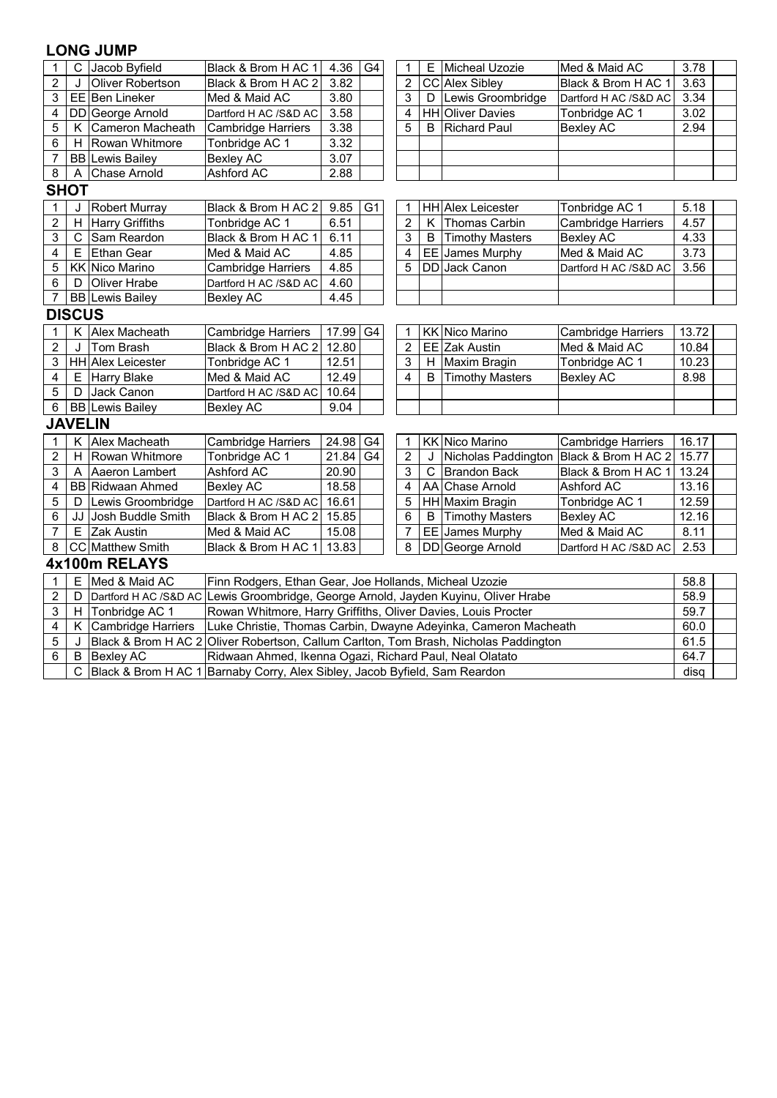### **LONG JUMP**

| $\mathbf{1}$   | $\mathsf{C}$   | Jacob Byfield             | Black & Brom H AC 1                                                                                                                           | 4.36  | G4             | 1 | E | Micheal Uzozie           | Med & Maid AC             | 3.78  |  |  |  |
|----------------|----------------|---------------------------|-----------------------------------------------------------------------------------------------------------------------------------------------|-------|----------------|---|---|--------------------------|---------------------------|-------|--|--|--|
| $\overline{c}$ | J              | Oliver Robertson          | Black & Brom H AC 2                                                                                                                           | 3.82  |                | 2 |   | CC Alex Sibley           | Black & Brom H AC 1       | 3.63  |  |  |  |
| 3              |                | EE Ben Lineker            | Med & Maid AC                                                                                                                                 | 3.80  |                | 3 | D | Lewis Groombridge        | Dartford H AC /S&D AC     | 3.34  |  |  |  |
| 4              |                | DD George Arnold          | Dartford H AC /S&D AC                                                                                                                         | 3.58  |                | 4 |   | <b>HH</b> Oliver Davies  | Tonbridge AC 1            | 3.02  |  |  |  |
| 5              | К              | Cameron Macheath          | <b>Cambridge Harriers</b>                                                                                                                     | 3.38  |                | 5 | B | <b>Richard Paul</b>      | <b>Bexley AC</b>          | 2.94  |  |  |  |
| 6              | H              | Rowan Whitmore            | Tonbridge AC 1                                                                                                                                | 3.32  |                |   |   |                          |                           |       |  |  |  |
| $\overline{7}$ |                | <b>BB</b> Lewis Bailey    | <b>Bexley AC</b>                                                                                                                              | 3.07  |                |   |   |                          |                           |       |  |  |  |
| 8              | A              | <b>Chase Arnold</b>       | Ashford AC                                                                                                                                    | 2.88  |                |   |   |                          |                           |       |  |  |  |
|                | <b>SHOT</b>    |                           |                                                                                                                                               |       |                |   |   |                          |                           |       |  |  |  |
| $\mathbf{1}$   | J              | <b>Robert Murray</b>      | Black & Brom H AC 2                                                                                                                           | 9.85  | G <sub>1</sub> | 1 |   | <b>HH</b> Alex Leicester | Tonbridge AC 1            | 5.18  |  |  |  |
| 2              | H              | Harry Griffiths           | Tonbridge AC 1                                                                                                                                | 6.51  |                | 2 | K | Thomas Carbin            | <b>Cambridge Harriers</b> | 4.57  |  |  |  |
| 3              | $\mathsf{C}$   | Sam Reardon               | Black & Brom H AC 1                                                                                                                           | 6.11  |                | 3 | B | <b>Timothy Masters</b>   | <b>Bexley AC</b>          | 4.33  |  |  |  |
| 4              | E              | Ethan Gear                | Med & Maid AC                                                                                                                                 | 4.85  |                | 4 |   | EE James Murphy          | Med & Maid AC             | 3.73  |  |  |  |
| 5              |                | KK Nico Marino            | Cambridge Harriers                                                                                                                            | 4.85  |                | 5 |   | DD Jack Canon            | Dartford H AC /S&D AC     | 3.56  |  |  |  |
| 6              | D              | Oliver Hrabe              | Dartford H AC /S&D AC                                                                                                                         | 4.60  |                |   |   |                          |                           |       |  |  |  |
| $\overline{7}$ |                | <b>BB</b> Lewis Bailey    | <b>Bexley AC</b>                                                                                                                              | 4.45  |                |   |   |                          |                           |       |  |  |  |
|                | <b>DISCUS</b>  |                           |                                                                                                                                               |       |                |   |   |                          |                           |       |  |  |  |
| 1              | K              | Alex Macheath             | <b>Cambridge Harriers</b>                                                                                                                     | 17.99 | G4             | 1 |   | <b>KK Nico Marino</b>    | <b>Cambridge Harriers</b> | 13.72 |  |  |  |
| $\overline{c}$ | J              | Tom Brash                 | Black & Brom H AC 2                                                                                                                           | 12.80 |                | 2 |   | EE Zak Austin            | Med & Maid AC             | 10.84 |  |  |  |
| 3              |                | <b>HH</b> Alex Leicester  | Tonbridge AC 1                                                                                                                                | 12.51 |                | 3 | H | Maxim Bragin             | Tonbridge AC 1            | 10.23 |  |  |  |
| 4              | E              | <b>Harry Blake</b>        | Med & Maid AC                                                                                                                                 | 12.49 |                | 4 | B | <b>Timothy Masters</b>   | <b>Bexley AC</b>          | 8.98  |  |  |  |
| 5              | D              | Jack Canon                | Dartford H AC /S&D AC                                                                                                                         | 10.64 |                |   |   |                          |                           |       |  |  |  |
| 6              |                | <b>BB</b> Lewis Bailey    | <b>Bexley AC</b>                                                                                                                              | 9.04  |                |   |   |                          |                           |       |  |  |  |
|                | <b>JAVELIN</b> |                           |                                                                                                                                               |       |                |   |   |                          |                           |       |  |  |  |
| 1              | K              | Alex Macheath             | <b>Cambridge Harriers</b>                                                                                                                     | 24.98 | G4             | 1 |   | <b>KK Nico Marino</b>    | <b>Cambridge Harriers</b> | 16.17 |  |  |  |
| 2              | H              | Rowan Whitmore            | Tonbridge AC 1                                                                                                                                | 21.84 | G <sub>4</sub> | 2 |   | Nicholas Paddington      | Black & Brom H AC 2       | 15.77 |  |  |  |
| 3              | Α              | Aaeron Lambert            | Ashford AC                                                                                                                                    | 20.90 |                | 3 | C | <b>Brandon Back</b>      | Black & Brom H AC 1       | 13.24 |  |  |  |
| 4              |                | <b>BB Ridwaan Ahmed</b>   | <b>Bexley AC</b>                                                                                                                              | 18.58 |                | 4 |   | AA Chase Arnold          | Ashford AC                | 13.16 |  |  |  |
| 5              | D              | Lewis Groombridge         | Dartford H AC /S&D AC                                                                                                                         | 16.61 |                | 5 |   | HH Maxim Bragin          | Tonbridge AC 1            | 12.59 |  |  |  |
| 6              | JJ             | Josh Buddle Smith         | Black & Brom H AC 2                                                                                                                           | 15.85 |                | 6 | B | <b>Timothy Masters</b>   | <b>Bexley AC</b>          | 12.16 |  |  |  |
| 7              | E              | Zak Austin                | Med & Maid AC                                                                                                                                 | 15.08 |                | 7 |   | EE James Murphy          | Med & Maid AC             | 8.11  |  |  |  |
| 8              |                | CC Matthew Smith          | Black & Brom H AC 1                                                                                                                           | 13.83 |                | 8 |   | DD George Arnold         | Dartford H AC /S&D AC     | 2.53  |  |  |  |
|                | 4x100m RELAYS  |                           |                                                                                                                                               |       |                |   |   |                          |                           |       |  |  |  |
| 1              | E              | Med & Maid AC             | Finn Rodgers, Ethan Gear, Joe Hollands, Micheal Uzozie                                                                                        |       |                |   |   |                          |                           | 58.8  |  |  |  |
| 2              | D              |                           | Dartford H AC /S&D AC Lewis Groombridge, George Arnold, Jayden Kuyinu, Oliver Hrabe                                                           |       |                |   |   |                          |                           | 58.9  |  |  |  |
| 3              | H              | Tonbridge AC 1            | Rowan Whitmore, Harry Griffiths, Oliver Davies, Louis Procter                                                                                 |       |                |   |   |                          |                           | 59.7  |  |  |  |
| 4              | K              | <b>Cambridge Harriers</b> | Luke Christie, Thomas Carbin, Dwayne Adeyinka, Cameron Macheath                                                                               |       |                |   |   |                          |                           | 60.0  |  |  |  |
| 5              | J              |                           | Black & Brom H AC 2 Oliver Robertson, Callum Carlton, Tom Brash, Nicholas Paddington                                                          |       |                |   |   |                          |                           | 61.5  |  |  |  |
| 6              | B              | <b>Bexley AC</b>          |                                                                                                                                               |       |                |   |   |                          |                           | 64.7  |  |  |  |
|                | $\mathsf{C}$   |                           | Ridwaan Ahmed, Ikenna Ogazi, Richard Paul, Neal Olatato<br>Black & Brom H AC 1 Barnaby Corry, Alex Sibley, Jacob Byfield, Sam Reardon<br>disq |       |                |   |   |                          |                           |       |  |  |  |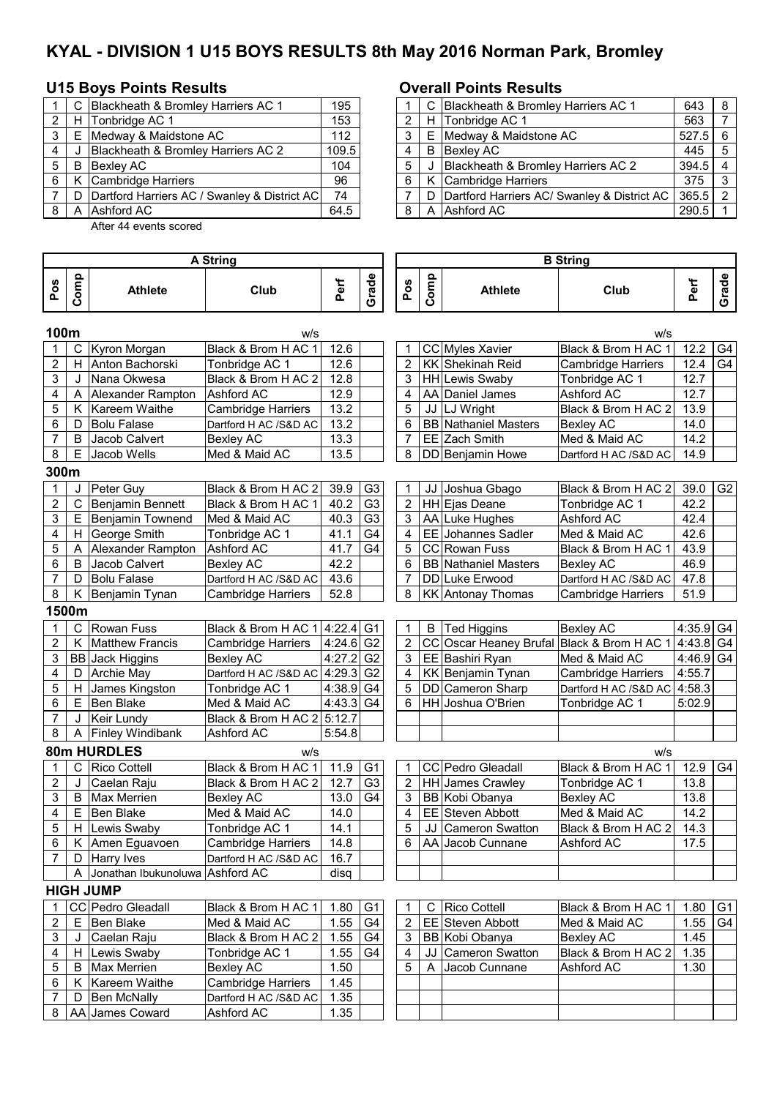# **KYAL - DIVISION 1 U15 BOYS RESULTS 8th May 2016 Norman Park, Bromley**

### **U15 Boys Points Results Overall Points Results**

|   | C Blackheath & Bromley Harriers AC 1           | 195   |     |   | C Blackheath & Bromley Harriers AC 1        |
|---|------------------------------------------------|-------|-----|---|---------------------------------------------|
| 2 | H Tonbridge AC 1                               | 153   |     |   | H Tonbridge AC 1                            |
| 3 | E Medway & Maidstone AC                        | 112   | 3 I |   | E Medway & Maidstone AC                     |
| 4 | Blackheath & Bromley Harriers AC 2             | 109.5 | 4   |   | <b>B</b> Bexley AC                          |
| 5 | <b>B</b> Bexley AC                             | 104   | 5   | J | Blackheath & Bromley Harriers AC 2          |
| 6 | K Cambridge Harriers                           | 96    | - 6 |   | K Cambridge Harriers                        |
|   | D Dartford Harriers AC / Swanley & District AC | 74    |     | D | Dartford Harriers AC/ Swanley & District AC |
|   | A Ashford AC                                   | 64.5  | 8   |   | A Ashford AC                                |
|   |                                                |       |     |   |                                             |

After 44 events scored

|       |   | C Blackheath & Bromley Harriers AC 1         | 195   |  | C Blackheath & Bromley Harriers AC 1          | 643       | - 8 |
|-------|---|----------------------------------------------|-------|--|-----------------------------------------------|-----------|-----|
| 2     | H | Tonbridge AC 1                               | 153   |  | H Tonbridge AC 1                              | 563       |     |
| 3 I   | E | Medway & Maidstone AC                        | 112   |  | E Medway & Maidstone AC                       | $527.5$ 6 |     |
| 4     |   | Blackheath & Bromley Harriers AC 2           | 109.5 |  | <b>B</b> Bexlev AC                            | 445       | -5  |
| 5   B |   | <b>Bexley AC</b>                             | 104   |  | Blackheath & Bromley Harriers AC 2            | $394.5$ 4 |     |
| 6     |   | Cambridge Harriers                           | 96    |  | K Cambridge Harriers                          | 375       |     |
|       | D | Dartford Harriers AC / Swanley & District AC | 74    |  | D Dartford Harriers AC/ Swanley & District AC | $365.5$ 2 |     |
| 8     | A | Ashford AC                                   | 64.5  |  | A Ashford AC                                  | 290.5     |     |

|                         | A String |                                   |                            |           |                |                |      | <b>B</b> String                            |                              |        |                |  |  |  |  |  |
|-------------------------|----------|-----------------------------------|----------------------------|-----------|----------------|----------------|------|--------------------------------------------|------------------------------|--------|----------------|--|--|--|--|--|
| Pos                     | Comp     | <b>Athlete</b>                    | Club                       | Perf      | Grade          | Pos            | Comp | <b>Athlete</b>                             | Club                         | Perf   | Grade          |  |  |  |  |  |
| 100m                    |          |                                   | w/s                        |           |                |                |      |                                            | w/s                          |        |                |  |  |  |  |  |
|                         | С        | Kyron Morgan                      | Black & Brom H AC 1        | 12.6      |                | 1              |      | CC Myles Xavier                            | Black & Brom H AC 1          | 12.2   | G4             |  |  |  |  |  |
| $\overline{2}$          | H        | Anton Bachorski                   | Tonbridge AC 1             | 12.6      |                | $\overline{2}$ |      | KK Shekinah Reid                           | <b>Cambridge Harriers</b>    | 12.4   | G4             |  |  |  |  |  |
| 3                       | J        | Nana Okwesa                       | Black & Brom H AC 2        | 12.8      |                | 3              |      | <b>HH</b> Lewis Swaby                      | Tonbridge AC 1               | 12.7   |                |  |  |  |  |  |
| 4                       | A        | Alexander Rampton                 | Ashford AC                 | 12.9      |                | 4              |      | AA Daniel James                            | Ashford AC                   | 12.7   |                |  |  |  |  |  |
| 5                       | Κ        | Kareem Waithe                     | Cambridge Harriers         | 13.2      |                | 5              |      | JJ LJ Wright                               | Black & Brom H AC 2          | 13.9   |                |  |  |  |  |  |
| 6                       | D        | <b>Bolu Falase</b>                | Dartford H AC /S&D AC      | 13.2      |                | 6              |      | <b>BB</b> Nathaniel Masters                | <b>Bexley AC</b>             | 14.0   |                |  |  |  |  |  |
| $\overline{7}$          | в        | Jacob Calvert                     | <b>Bexley AC</b>           | 13.3      |                | 7              |      | EE Zach Smith                              | Med & Maid AC                | 14.2   |                |  |  |  |  |  |
| 8                       | E        | Jacob Wells                       | Med & Maid AC              | 13.5      |                | 8              |      | DD Benjamin Howe                           | Dartford H AC /S&D AC        | 14.9   |                |  |  |  |  |  |
| 300m                    |          |                                   |                            |           |                |                |      |                                            |                              |        |                |  |  |  |  |  |
| 1                       | J        | Peter Guy                         | Black & Brom H AC 2        | 39.9      | G <sub>3</sub> | 1              |      | JJ Joshua Gbago                            | Black & Brom H AC 2          | 39.0   | G <sub>2</sub> |  |  |  |  |  |
| $\overline{c}$          | C        | Benjamin Bennett                  | Black & Brom H AC 1        | 40.2      | G <sub>3</sub> | $\overline{2}$ |      | HH Ejas Deane                              | Tonbridge AC 1               | 42.2   |                |  |  |  |  |  |
| 3                       | E        | Benjamin Townend                  | Med & Maid AC              | 40.3      | G <sub>3</sub> | 3              |      | AA Luke Hughes                             | Ashford AC                   | 42.4   |                |  |  |  |  |  |
| 4                       | н        | George Smith                      | Tonbridge AC 1             | 41.1      | G4             | 4              |      | EE Johannes Sadler                         | Med & Maid AC                | 42.6   |                |  |  |  |  |  |
| 5                       | Α        | Alexander Rampton                 | Ashford AC                 | 41.7      | G4             | 5              |      | <b>CC</b> Rowan Fuss                       | Black & Brom H AC 1          | 43.9   |                |  |  |  |  |  |
| 6                       | B        | Jacob Calvert                     | <b>Bexley AC</b>           | 42.2      |                | 6              |      | <b>BB</b> Nathaniel Masters                | <b>Bexley AC</b>             | 46.9   |                |  |  |  |  |  |
| $\overline{7}$          | D        | <b>Bolu Falase</b>                | Dartford H AC /S&D AC      | 43.6      |                | 7              |      | DD Luke Erwood                             | Dartford H AC /S&D AC        | 47.8   |                |  |  |  |  |  |
| 8                       | Κ        | Benjamin Tynan                    | Cambridge Harriers         | 52.8      |                | 8              |      | <b>KK</b> Antonay Thomas                   | Cambridge Harriers           | 51.9   |                |  |  |  |  |  |
|                         | 1500m    |                                   |                            |           |                |                |      |                                            |                              |        |                |  |  |  |  |  |
|                         | C        | <b>Rowan Fuss</b>                 | Black & Brom H AC 1 4:22.4 |           | G <sub>1</sub> | 1              | B    | <b>Ted Higgins</b>                         | <b>Bexley AC</b>             | 4:35.9 | G <sub>4</sub> |  |  |  |  |  |
| $\overline{c}$          | K        | <b>Matthew Francis</b>            | Cambridge Harriers         | 4:24.6 G2 |                | $\overline{c}$ |      | CC Oscar Heaney Brufal Black & Brom H AC 1 |                              | 4:43.8 | G4             |  |  |  |  |  |
| 3                       |          | <b>BB</b> Jack Higgins            | <b>Bexley AC</b>           | 4:27.2    | G <sub>2</sub> | 3              |      | EE Bashiri Ryan                            | Med & Maid AC                | 4:46.9 | G <sub>4</sub> |  |  |  |  |  |
| 4                       | D        | <b>Archie May</b>                 | Dartford H AC /S&D AC      | 4:29.3    | G <sub>2</sub> | 4              |      | KK Benjamin Tynan                          | Cambridge Harriers           | 4:55.7 |                |  |  |  |  |  |
| 5                       | H.       | James Kingston                    | Tonbridge AC 1             | 4:38.9 G4 |                | 5              |      | DD Cameron Sharp                           | Dartford H AC /S&D AC 4:58.3 |        |                |  |  |  |  |  |
| 6                       | E        | Ben Blake                         | Med & Maid AC              | 4:43.3 G4 |                | 6              | HH   | Joshua O'Brien                             | Tonbridge AC 1               | 5:02.9 |                |  |  |  |  |  |
| 7                       | J        | Keir Lundy                        | Black & Brom H AC 2 5:12.7 |           |                |                |      |                                            |                              |        |                |  |  |  |  |  |
| 8                       |          | A Finley Windibank                | Ashford AC                 | 5:54.8    |                |                |      |                                            |                              |        |                |  |  |  |  |  |
|                         |          | 80m HURDLES                       | w/s                        |           |                |                |      |                                            | w/s                          |        |                |  |  |  |  |  |
|                         | C        | <b>Rico Cottell</b>               | Black & Brom H AC 1        | 11.9      | G <sub>1</sub> | $\mathbf 1$    |      | CC Pedro Gleadall                          | Black & Brom H AC 1          | 12.9   | G4             |  |  |  |  |  |
| $\overline{c}$          | J        | Caelan Raju                       | Black & Brom H AC 2        | 12.7      | G <sub>3</sub> | 2              |      | <b>HH</b> James Crawley                    | Tonbridge AC 1               | 13.8   |                |  |  |  |  |  |
| 3                       | B        | Max Merrien                       | <b>Bexley AC</b>           | 13.0      | G <sub>4</sub> | 3              |      | BB Kobi Obanya                             | <b>Bexley AC</b>             | 13.8   |                |  |  |  |  |  |
| 4                       | E.       | Ben Blake                         | Med & Maid AC              | 14.0      |                | 4              | EE   | Steven Abbott                              | Med & Maid AC                | 14.2   |                |  |  |  |  |  |
| 5                       | H        | Lewis Swaby                       | Tonbridge AC 1             | 14.1      |                | 5              | JJ   | <b>Cameron Swatton</b>                     | Black & Brom H AC 2          | 14.3   |                |  |  |  |  |  |
| 6                       |          | K Amen Eguavoen                   | <b>Cambridge Harriers</b>  | 14.8      |                | 6              |      | AA Jacob Cunnane                           | Ashford AC                   | 17.5   |                |  |  |  |  |  |
| 7                       |          | D Harry Ives                      | Dartford H AC /S&D AC      | 16.7      |                |                |      |                                            |                              |        |                |  |  |  |  |  |
|                         |          | A Jonathan Ibukunoluwa Ashford AC |                            | disq      |                |                |      |                                            |                              |        |                |  |  |  |  |  |
|                         |          | <b>HIGH JUMP</b>                  |                            |           |                |                |      |                                            |                              |        |                |  |  |  |  |  |
| 1                       |          | CC Pedro Gleadall                 | Black & Brom H AC 1        | 1.80      | G <sub>1</sub> | 1              | C.   | <b>Rico Cottell</b>                        | Black & Brom H AC 1          | 1.80   | G <sub>1</sub> |  |  |  |  |  |
| $\overline{\mathbf{c}}$ |          | E Ben Blake                       | Med & Maid AC              | 1.55      | G <sub>4</sub> | 2              |      | EE Steven Abbott                           | Med & Maid AC                | 1.55   | G4             |  |  |  |  |  |
| 3                       | J        | Caelan Raju                       | Black & Brom H AC 2        | 1.55      | G <sub>4</sub> | 3              |      | BB Kobi Obanya                             | Bexley AC                    | 1.45   |                |  |  |  |  |  |
| 4                       | H.       | Lewis Swaby                       | Tonbridge AC 1             | 1.55      | G4             | 4              | JJ I | <b>Cameron Swatton</b>                     | Black & Brom H AC 2          | 1.35   |                |  |  |  |  |  |
| 5                       | B        | <b>Max Merrien</b>                | <b>Bexley AC</b>           | 1.50      |                | 5              | A    | Jacob Cunnane                              | Ashford AC                   | 1.30   |                |  |  |  |  |  |
| 6                       | Κ        | Kareem Waithe                     | Cambridge Harriers         | 1.45      |                |                |      |                                            |                              |        |                |  |  |  |  |  |
| 7                       | D        | <b>Ben McNally</b>                | Dartford H AC /S&D AC      | 1.35      |                |                |      |                                            |                              |        |                |  |  |  |  |  |
| 8                       |          | AA James Coward                   | Ashford AC                 | 1.35      |                |                |      |                                            |                              |        |                |  |  |  |  |  |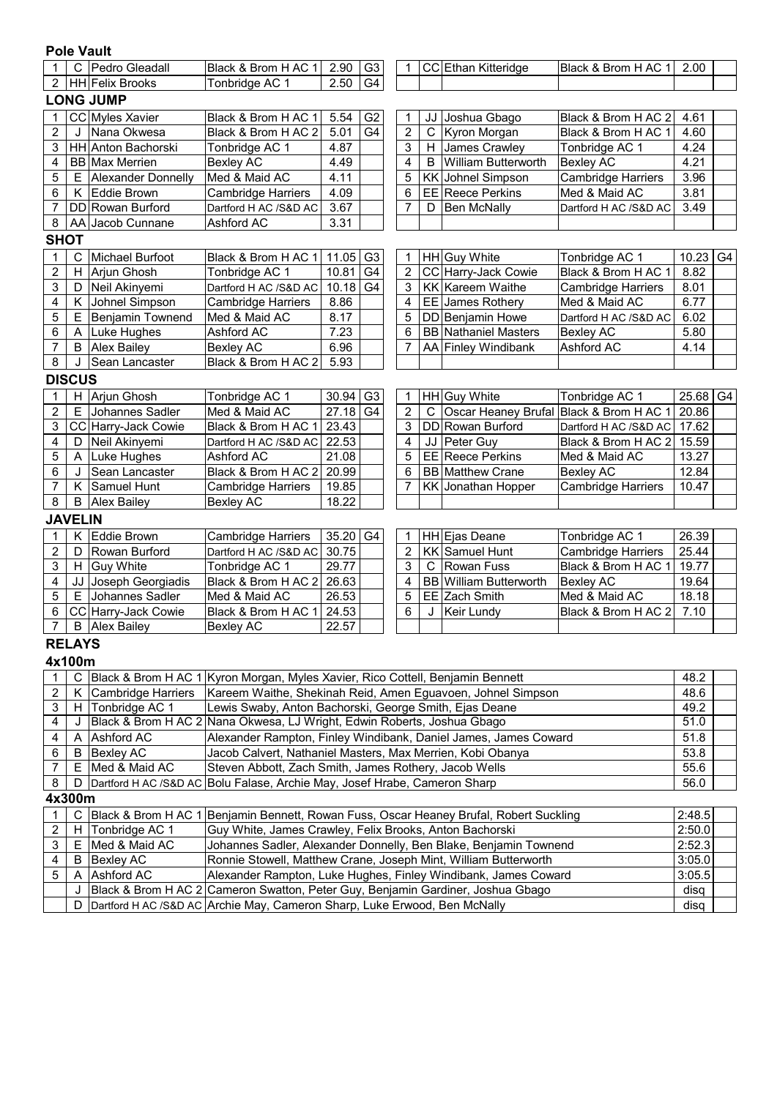|                  | <b>Pole Vault</b> |                           |                                                                                         |                                                                      |                |                         |             |                                                                  |                                         |              |  |  |  |
|------------------|-------------------|---------------------------|-----------------------------------------------------------------------------------------|----------------------------------------------------------------------|----------------|-------------------------|-------------|------------------------------------------------------------------|-----------------------------------------|--------------|--|--|--|
|                  |                   | C Pedro Gleadall          | Black & Brom H AC 1                                                                     | 2.90                                                                 | G <sub>3</sub> | 1                       |             | CC Ethan Kitteridge                                              | Black & Brom H AC 1                     | 2.00         |  |  |  |
| $\overline{2}$   |                   | <b>HH</b> Felix Brooks    | Tonbridge AC 1                                                                          | 2.50                                                                 | G4             |                         |             |                                                                  |                                         |              |  |  |  |
|                  |                   | <b>LONG JUMP</b>          |                                                                                         |                                                                      |                |                         |             |                                                                  |                                         |              |  |  |  |
| 1                |                   | CC Myles Xavier           | Black & Brom H AC 1                                                                     | 5.54                                                                 | G <sub>2</sub> | 1                       |             | JJ Joshua Gbago                                                  | Black & Brom H AC 2                     | 4.61         |  |  |  |
| $\overline{c}$   |                   | Nana Okwesa               | Black & Brom H AC 2                                                                     | 5.01                                                                 | G <sub>4</sub> | $\overline{2}$          | $\mathbf C$ | Kyron Morgan                                                     | Black & Brom H AC 1                     | 4.60         |  |  |  |
| 3                |                   | HH Anton Bachorski        | Tonbridge AC 1                                                                          | 4.87                                                                 |                | 3                       |             | H James Crawley                                                  | Tonbridge AC 1                          | 4.24         |  |  |  |
| 4                |                   | <b>BB</b> Max Merrien     | <b>Bexley AC</b>                                                                        | 4.49                                                                 |                | 4                       | B           | <b>William Butterworth</b>                                       | <b>Bexley AC</b>                        | 4.21         |  |  |  |
| 5                | E.                | <b>Alexander Donnelly</b> | Med & Maid AC                                                                           | 4.11                                                                 |                | 5                       |             | <b>KK</b> Johnel Simpson                                         | <b>Cambridge Harriers</b>               | 3.96         |  |  |  |
| 6                | K                 | Eddie Brown               | Cambridge Harriers                                                                      | 4.09                                                                 |                | 6                       |             | <b>EE</b> Reece Perkins                                          | Med & Maid AC                           | 3.81         |  |  |  |
| 7                | DD                | Rowan Burford             | Dartford H AC /S&D AC                                                                   | 3.67                                                                 |                | 7                       | D           | <b>Ben McNally</b>                                               | Dartford H AC /S&D AC                   | 3.49         |  |  |  |
| 8                | AA                | Jacob Cunnane             | Ashford AC                                                                              | 3.31                                                                 |                |                         |             |                                                                  |                                         |              |  |  |  |
| <b>SHOT</b>      |                   |                           |                                                                                         |                                                                      |                |                         |             |                                                                  |                                         |              |  |  |  |
| $\mathbf 1$      | C                 | Michael Burfoot           | Black & Brom H AC 1                                                                     | 11.05                                                                | G3             | 1                       |             | HH Guy White                                                     | Tonbridge AC 1                          | $10.23$ G4   |  |  |  |
| $\overline{2}$   | H                 | Arjun Ghosh               | Tonbridge AC 1                                                                          | 10.81                                                                | G <sub>4</sub> | $\overline{2}$          |             | CC Harry-Jack Cowie                                              | Black & Brom H AC 1                     | 8.82         |  |  |  |
| 3                | D                 | Neil Akinyemi             | Dartford H AC /S&D AC                                                                   | 10.18                                                                | G <sub>4</sub> | 3                       |             | <b>KK</b> Kareem Waithe                                          | <b>Cambridge Harriers</b>               | 8.01         |  |  |  |
| 4                | Κ                 | Johnel Simpson            | Cambridge Harriers                                                                      | 8.86                                                                 |                | 4                       |             | EE James Rothery                                                 | Med & Maid AC                           | 6.77         |  |  |  |
| 5                | Е                 | Benjamin Townend          | Med & Maid AC                                                                           | 8.17                                                                 |                | 5                       |             | DD Benjamin Howe                                                 | Dartford H AC /S&D AC                   | 6.02         |  |  |  |
| 6                | A                 | Luke Hughes               | Ashford AC                                                                              | 7.23<br>6<br><b>BB Nathaniel Masters</b><br><b>Bexley AC</b><br>5.80 |                |                         |             |                                                                  |                                         |              |  |  |  |
| 7                | B                 | <b>Alex Bailey</b>        | <b>Bexley AC</b>                                                                        | 7<br>AA Finley Windibank<br>Ashford AC<br>6.96<br>4.14               |                |                         |             |                                                                  |                                         |              |  |  |  |
| 8                | J                 | Sean Lancaster            | Black & Brom H AC 2                                                                     | 5.93                                                                 |                |                         |             |                                                                  |                                         |              |  |  |  |
|                  | <b>DISCUS</b>     |                           |                                                                                         |                                                                      |                |                         |             |                                                                  |                                         |              |  |  |  |
| 1                | ΗI                | Arjun Ghosh               | Tonbridge AC 1                                                                          | 30.94                                                                | G <sub>3</sub> | 1                       |             | HH Guy White                                                     | Tonbridge AC 1                          | $25.68$ G4   |  |  |  |
| $\overline{2}$   | Е                 | Johannes Sadler           | Med & Maid AC                                                                           | 27.18                                                                | G4             | $\overline{2}$          | C           |                                                                  | Oscar Heaney Brufal Black & Brom H AC 1 | 20.86        |  |  |  |
| 3                |                   | CC Harry-Jack Cowie       | Black & Brom H AC 1                                                                     | 23.43                                                                |                | 3                       |             | DD Rowan Burford                                                 | Dartford H AC /S&D AC                   | 17.62        |  |  |  |
| 4                | D                 | Neil Akinyemi             | Dartford H AC /S&D AC                                                                   | 22.53                                                                |                | 4                       |             | JJ Peter Guy                                                     | Black & Brom H AC 2                     | 15.59        |  |  |  |
| 5                | A                 | Luke Hughes               | Ashford AC                                                                              | 21.08                                                                |                | 5                       |             | EE Reece Perkins                                                 | Med & Maid AC                           | 13.27        |  |  |  |
| 6                | J                 | Sean Lancaster            | Black & Brom H AC 2                                                                     | 20.99                                                                |                | 6                       |             | <b>BB</b> Matthew Crane                                          | <b>Bexley AC</b>                        | 12.84        |  |  |  |
| 7                | Κ                 | Samuel Hunt               | <b>Cambridge Harriers</b>                                                               | 19.85                                                                |                | 7                       |             | KK Jonathan Hopper                                               | <b>Cambridge Harriers</b>               | 10.47        |  |  |  |
| 8                | B                 | <b>Alex Bailey</b>        | <b>Bexley AC</b>                                                                        | 18.22                                                                |                |                         |             |                                                                  |                                         |              |  |  |  |
|                  | <b>JAVELIN</b>    |                           |                                                                                         |                                                                      |                |                         |             |                                                                  |                                         |              |  |  |  |
| $\mathbf 1$      | Κ                 | Eddie Brown               | <b>Cambridge Harriers</b>                                                               | 35.20                                                                | G <sub>4</sub> | 1                       |             | HH Ejas Deane                                                    | Tonbridge AC 1                          | 26.39        |  |  |  |
| $\overline{c}$   | D                 | Rowan Burford             | Dartford H AC /S&D AC                                                                   | 30.75                                                                |                | $\overline{\mathbf{c}}$ |             | <b>KK</b> Samuel Hunt                                            | <b>Cambridge Harriers</b>               | 25.44        |  |  |  |
| 3                | $H \mid$          | <b>Guy White</b>          | Tonbridge AC 1                                                                          | 29.77                                                                |                | 3                       | C           | <b>Rowan Fuss</b>                                                | Black & Brom H AC 1                     | 19.77        |  |  |  |
| 4                | JJ                | Joseph Georgiadis         | Black & Brom H AC 2                                                                     | 26.63                                                                |                | 4                       |             | <b>BB</b> William Butterworth                                    | <b>Bexley AC</b>                        | 19.64        |  |  |  |
| 5                | E.                | Johannes Sadler           | Med & Maid AC                                                                           | 26.53                                                                |                | 5                       |             | EE Zach Smith                                                    | Med & Maid AC                           | 18.18        |  |  |  |
| 6                |                   | CC Harry-Jack Cowie       | Black & Brom H AC 1                                                                     | 24.53                                                                |                | 6                       | J           | Keir Lundy                                                       | Black & Brom H AC 2                     | 7.10         |  |  |  |
|                  |                   | 7 B Alex Bailey           | <b>Bexley AC</b>                                                                        | 22.57                                                                |                |                         |             |                                                                  |                                         |              |  |  |  |
| <b>RELAYS</b>    |                   |                           |                                                                                         |                                                                      |                |                         |             |                                                                  |                                         |              |  |  |  |
|                  | 4x100m            |                           |                                                                                         |                                                                      |                |                         |             |                                                                  |                                         |              |  |  |  |
| $\mathbf{1}$     | C                 |                           | Black & Brom H AC 1 Kyron Morgan, Myles Xavier, Rico Cottell, Benjamin Bennett          |                                                                      |                |                         |             |                                                                  |                                         | 48.2         |  |  |  |
| $\boldsymbol{2}$ | Κ                 | <b>Cambridge Harriers</b> | Kareem Waithe, Shekinah Reid, Amen Eguavoen, Johnel Simpson                             |                                                                      |                |                         |             |                                                                  |                                         | 48.6         |  |  |  |
| 3                | H                 | Tonbridge AC 1            | Lewis Swaby, Anton Bachorski, George Smith, Ejas Deane                                  |                                                                      |                |                         |             |                                                                  |                                         | 49.2         |  |  |  |
| 4                | J                 |                           | Black & Brom H AC 2 Nana Okwesa, LJ Wright, Edwin Roberts, Joshua Gbago                 |                                                                      |                |                         |             |                                                                  |                                         | 51.0         |  |  |  |
| 4                | A                 | Ashford AC                |                                                                                         |                                                                      |                |                         |             | Alexander Rampton, Finley Windibank, Daniel James, James Coward  |                                         | 51.8         |  |  |  |
| 6                | B                 | <b>Bexley AC</b>          |                                                                                         | Jacob Calvert, Nathaniel Masters, Max Merrien, Kobi Obanya           |                |                         |             |                                                                  |                                         |              |  |  |  |
| 7                |                   | E Med & Maid AC           |                                                                                         | Steven Abbott, Zach Smith, James Rothery, Jacob Wells                |                |                         |             |                                                                  |                                         |              |  |  |  |
| 8                | D                 | Dartford H AC /S&D AC     | Bolu Falase, Archie May, Josef Hrabe, Cameron Sharp                                     |                                                                      |                |                         |             |                                                                  |                                         | 55.6<br>56.0 |  |  |  |
|                  | 4x300m            |                           |                                                                                         |                                                                      |                |                         |             |                                                                  |                                         |              |  |  |  |
| 1                | C                 | Black & Brom H AC 1       | Benjamin Bennett, Rowan Fuss, Oscar Heaney Brufal, Robert Suckling                      |                                                                      |                |                         |             |                                                                  |                                         | 2:48.5       |  |  |  |
| $\mathbf 2$      |                   | H Tonbridge AC 1          | Guy White, James Crawley, Felix Brooks, Anton Bachorski                                 |                                                                      |                |                         |             |                                                                  |                                         | 2:50.0       |  |  |  |
| 3                |                   | E Med & Maid AC           |                                                                                         |                                                                      |                |                         |             | Johannes Sadler, Alexander Donnelly, Ben Blake, Benjamin Townend |                                         | 2:52.3       |  |  |  |
| 4                | B                 | <b>Bexley AC</b>          | Ronnie Stowell, Matthew Crane, Joseph Mint, William Butterworth                         |                                                                      |                |                         |             |                                                                  |                                         | 3:05.0       |  |  |  |
| 5                | A                 | Ashford AC                |                                                                                         |                                                                      |                |                         |             | Alexander Rampton, Luke Hughes, Finley Windibank, James Coward   |                                         | 3:05.5       |  |  |  |
|                  | J                 |                           | Black & Brom H AC 2 Cameron Swatton, Peter Guy, Benjamin Gardiner, Joshua Gbago<br>disq |                                                                      |                |                         |             |                                                                  |                                         |              |  |  |  |
|                  | D                 |                           | Dartford H AC /S&D AC Archie May, Cameron Sharp, Luke Erwood, Ben McNally               |                                                                      |                |                         |             |                                                                  |                                         | disq         |  |  |  |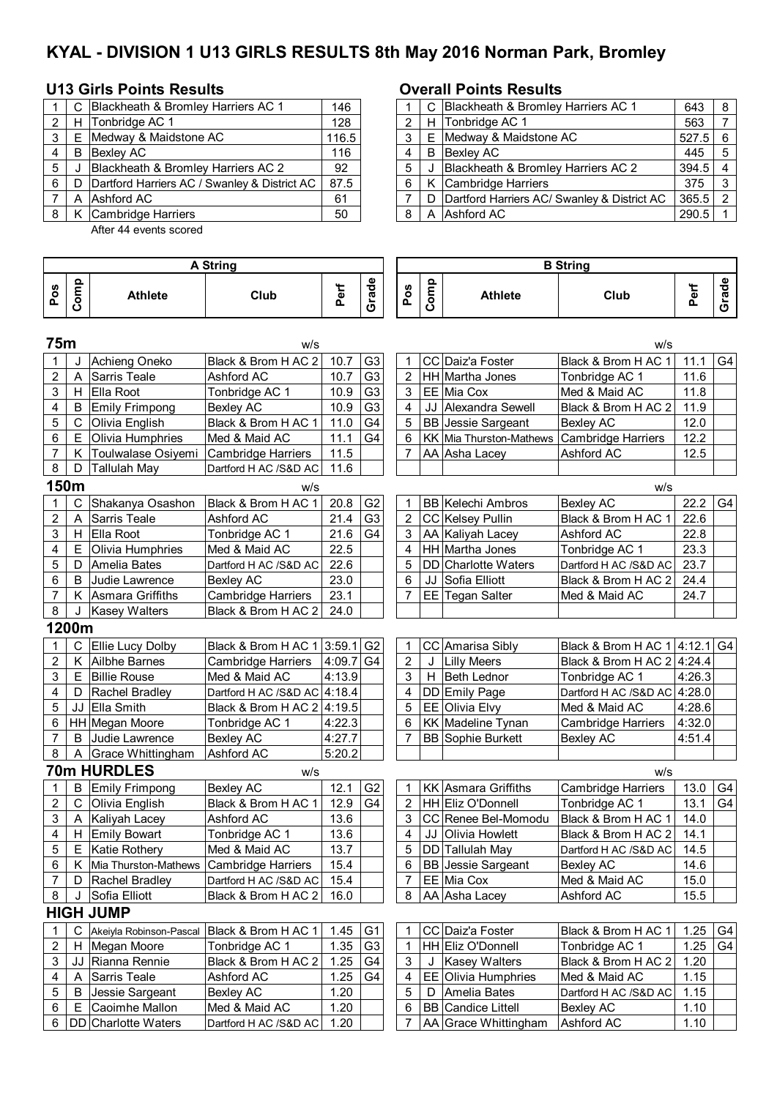# **KYAL - DIVISION 1 U13 GIRLS RESULTS 8th May 2016 Norman Park, Bromley**

### **U13 Girls Points Results Overall Points Results**

|   |    | C Blackheath & Bromley Harriers AC 1         | 146   |                |   | C Blackheath & Bromley Harriers AC 1            |
|---|----|----------------------------------------------|-------|----------------|---|-------------------------------------------------|
|   | H  | Tonbridge AC 1                               | 128   |                |   | H Tonbridge AC 1                                |
| 3 |    | E Medway & Maidstone AC                      | 116.5 | 3              |   | E Medway & Maidstone AC                         |
|   |    | <b>B</b> Bexley AC                           | 116   | $\overline{4}$ | B | <b>Bexley AC</b>                                |
| 5 |    | Blackheath & Bromley Harriers AC 2           | 92    | 5              |   | Blackheath & Bromley Harriers AC 2              |
| 6 | D. | Dartford Harriers AC / Swanley & District AC | 87.5  | 6              |   | K Cambridge Harriers                            |
|   |    | A Ashford AC                                 | 61    |                |   | D   Dartford Harriers AC/ Swanley & District AC |
|   |    | K Cambridge Harriers                         | 50    | 8              |   | A Ashford AC                                    |
|   |    |                                              |       |                |   |                                                 |

After 44 events scored

|       |   | C Blackheath & Bromley Harriers AC 1           | 146   |  | C Blackheath & Bromley Harriers AC 1            | 643   | 8   |
|-------|---|------------------------------------------------|-------|--|-------------------------------------------------|-------|-----|
| 2   H |   | Tonbridge AC 1                                 | 128   |  | H Tonbridge AC 1                                | 563   |     |
| 3 I E |   | Medway & Maidstone AC                          | 116.5 |  | E Medway & Maidstone AC                         | 527.5 | - 6 |
| 4     | B | Bexley AC                                      | 116   |  | <b>B</b> Bexlev AC                              | 445   | 5   |
| 5     |   | Blackheath & Bromley Harriers AC 2             | 92    |  | Blackheath & Bromley Harriers AC 2              | 394.5 |     |
| 61    |   | D Dartford Harriers AC / Swanley & District AC | 87.5  |  | K Cambridge Harriers                            | 375   |     |
|       |   | A Ashford AC                                   | 61    |  | D   Dartford Harriers AC/ Swanley & District AC | 365.5 |     |
|       |   | 8   K Cambridge Harriers                       | 50    |  | A Ashford AC                                    | 290.5 |     |

|                         | <b>A String</b> |                         |                               |           |                |                |      | <b>B</b> String           |                               |        |                |  |  |  |  |
|-------------------------|-----------------|-------------------------|-------------------------------|-----------|----------------|----------------|------|---------------------------|-------------------------------|--------|----------------|--|--|--|--|
| Pos                     | Comp            | <b>Athlete</b>          | Club                          | Perf      | Grade          | Pos            | Comp | <b>Athlete</b>            | Club                          | Perf   | Grade          |  |  |  |  |
| 75m                     |                 |                         | w/s                           |           |                |                |      |                           | w/s                           |        |                |  |  |  |  |
| 1                       | J               | Achieng Oneko           | Black & Brom H AC 2           | 10.7      | G <sub>3</sub> | 1              |      | CC Daiz'a Foster          | Black & Brom H AC 1           | 11.1   | G4             |  |  |  |  |
| 2                       | A               | <b>Sarris Teale</b>     | Ashford AC                    | 10.7      | G <sub>3</sub> | $\overline{2}$ |      | HH Martha Jones           | Tonbridge AC 1                | 11.6   |                |  |  |  |  |
| 3                       | Н.              | Ella Root               | Tonbridge AC 1                | 10.9      | G <sub>3</sub> | 3              |      | EE Mia Cox                | Med & Maid AC                 | 11.8   |                |  |  |  |  |
| 4                       | B               | <b>Emily Frimpong</b>   | <b>Bexley AC</b>              | 10.9      | G <sub>3</sub> | 4              |      | JJ Alexandra Sewell       | Black & Brom H AC 2           | 11.9   |                |  |  |  |  |
| 5                       | C               | Olivia English          | Black & Brom H AC 1           | 11.0      | G <sub>4</sub> | 5              |      | <b>BB</b> Jessie Sargeant | <b>Bexley AC</b>              | 12.0   |                |  |  |  |  |
| 6                       | E               | Olivia Humphries        | Med & Maid AC                 | 11.1      | G <sub>4</sub> | 6              |      | KK Mia Thurston-Mathews   | <b>Cambridge Harriers</b>     | 12.2   |                |  |  |  |  |
| 7                       | Κ               | Toulwalase Osiyemi      | <b>Cambridge Harriers</b>     | 11.5      |                | 7              |      | AA Asha Lacey             | Ashford AC                    | 12.5   |                |  |  |  |  |
| 8                       | D               | <b>Tallulah May</b>     | Dartford H AC /S&D AC         | 11.6      |                |                |      |                           |                               |        |                |  |  |  |  |
|                         | 150m            |                         | W/S                           |           |                |                |      |                           | W/S                           |        |                |  |  |  |  |
| 1                       | C               | Shakanya Osashon        | Black & Brom H AC 1           | 20.8      | G <sub>2</sub> | 1              |      | <b>BB</b> Kelechi Ambros  | <b>Bexley AC</b>              | 22.2   | G4             |  |  |  |  |
| $\overline{\mathbf{c}}$ | A               | <b>Sarris Teale</b>     | Ashford AC                    | 21.4      | G <sub>3</sub> | 2              |      | CC Kelsey Pullin          | Black & Brom H AC 1           | 22.6   |                |  |  |  |  |
| 3                       | Н.              | Ella Root               | Tonbridge AC 1                | 21.6      | G4             | 3              |      | AA Kaliyah Lacey          | Ashford AC                    | 22.8   |                |  |  |  |  |
| 4                       | E.              | Olivia Humphries        | Med & Maid AC                 | 22.5      |                | 4              |      | HH Martha Jones           | Tonbridge AC 1                | 23.3   |                |  |  |  |  |
| 5                       | D               | Amelia Bates            | Dartford H AC /S&D AC         | 22.6      |                | 5              |      | DD Charlotte Waters       | Dartford H AC /S&D AC         | 23.7   |                |  |  |  |  |
| 6                       | B               | Judie Lawrence          | <b>Bexley AC</b>              | 23.0      |                | 6              |      | JJ Sofia Elliott          | Black & Brom H AC 2           | 24.4   |                |  |  |  |  |
| 7                       |                 | K Asmara Griffiths      | <b>Cambridge Harriers</b>     | 23.1      |                | 7              |      | EE Tegan Salter           | Med & Maid AC                 | 24.7   |                |  |  |  |  |
| 8                       | J               | <b>Kasey Walters</b>    | Black & Brom H AC 2           | 24.0      |                |                |      |                           |                               |        |                |  |  |  |  |
|                         | 1200m           |                         |                               |           |                |                |      |                           |                               |        |                |  |  |  |  |
| 1                       |                 | C Ellie Lucy Dolby      | Black & Brom H AC 1 3:59.1 G2 |           |                | 1              |      | CC Amarisa Sibly          | Black & Brom H AC 1 4:12.1 G4 |        |                |  |  |  |  |
| 2                       |                 | K Ailbhe Barnes         | Cambridge Harriers            | 4:09.7 G4 |                | $\overline{2}$ | J    | <b>Lilly Meers</b>        | Black & Brom H AC 2 4:24.4    |        |                |  |  |  |  |
| 3                       | E.              | <b>Billie Rouse</b>     | Med & Maid AC                 | 4:13.9    |                | 3              | H    | <b>Beth Lednor</b>        | Tonbridge AC 1                | 4:26.3 |                |  |  |  |  |
| 4                       | D               | Rachel Bradley          | Dartford H AC /S&D AC 4:18.4  |           |                | 4              |      | DD Emily Page             | Dartford H AC /S&D AC 4:28.0  |        |                |  |  |  |  |
| 5                       | JJ              | Ella Smith              | Black & Brom H AC 2 4:19.5    |           |                | 5              |      | EE Olivia Elvy            | Med & Maid AC                 | 4:28.6 |                |  |  |  |  |
| 6                       |                 | HH Megan Moore          | Tonbridge AC 1                | 4:22.3    |                | 6              |      | <b>KK</b> Madeline Tynan  | Cambridge Harriers            | 4:32.0 |                |  |  |  |  |
| $\overline{7}$          | B               | Judie Lawrence          | <b>Bexley AC</b>              | 4:27.7    |                | 7              |      | <b>BB Sophie Burkett</b>  | <b>Bexley AC</b>              | 4:51.4 |                |  |  |  |  |
| 8                       | A               | Grace Whittingham       | Ashford AC                    | 5:20.2    |                |                |      |                           |                               |        |                |  |  |  |  |
|                         |                 | <b>70m HURDLES</b>      | W/S                           |           |                |                |      |                           | w/s                           |        |                |  |  |  |  |
| 1                       | в               | <b>Emily Frimpong</b>   | <b>Bexley AC</b>              | 12.1      | G <sub>2</sub> | 1              |      | KK Asmara Griffiths       | <b>Cambridge Harriers</b>     | 13.0   | G4             |  |  |  |  |
| $\overline{2}$          | $\mathsf{C}$    | Olivia English          | Black & Brom H AC 1           | 12.9      | G <sub>4</sub> | $\overline{c}$ |      | HH Eliz O'Donnell         | Tonbridge AC 1                | 13.1   | G4             |  |  |  |  |
| 3                       | A               | Kaliyah Lacey           | Ashford AC                    | 13.6      |                | 3              |      | CC Renee Bel-Momodu       | Black & Brom H AC 1           | 14.0   |                |  |  |  |  |
| 4                       |                 | H Emily Bowart          | Tonbridge AC 1                | 13.6      |                | 4              | JJ   | <b>Olivia Howlett</b>     | Black & Brom H AC 2           | 14.1   |                |  |  |  |  |
| 5                       |                 | E Katie Rothery         | Med & Maid AC                 | 13.7      |                | 5              |      | DD Tallulah May           | Dartford H AC /S&D AC         | 14.5   |                |  |  |  |  |
| 6                       |                 | K Mia Thurston-Mathews  | <b>Cambridge Harriers</b>     | 15.4      |                | 6              |      | <b>BB</b> Jessie Sargeant | <b>Bexley AC</b>              | 14.6   |                |  |  |  |  |
| 7                       | D               | Rachel Bradley          | Dartford H AC /S&D AC         | 15.4      |                | 7              |      | EE Mia Cox                | Med & Maid AC                 | 15.0   |                |  |  |  |  |
| 8                       | J               | Sofia Elliott           | Black & Brom H AC 2           | 16.0      |                | 8              |      | AA Asha Lacey             | Ashford AC                    | 15.5   |                |  |  |  |  |
|                         |                 | <b>HIGH JUMP</b>        |                               |           |                |                |      |                           |                               |        |                |  |  |  |  |
| 1                       | C               | Akeiyla Robinson-Pascal | Black & Brom H AC 1           | 1.45      | G <sub>1</sub> | 1              |      | CC Daiz'a Foster          | Black & Brom H AC 1           | 1.25   | G4             |  |  |  |  |
| 2                       | H.              | Megan Moore             | Tonbridge AC 1                | 1.35      | G <sub>3</sub> | 1              |      | HH Eliz O'Donnell         | Tonbridge AC 1                | 1.25   | G <sub>4</sub> |  |  |  |  |
| 3                       | JJ              | Rianna Rennie           | Black & Brom H AC 2           | 1.25      | G4             | 3              |      | <b>Kasey Walters</b>      | Black & Brom H AC 2           | 1.20   |                |  |  |  |  |
| 4                       | Α               | Sarris Teale            | Ashford AC                    | 1.25      | G4             | 4              |      | EE Olivia Humphries       | Med & Maid AC                 | 1.15   |                |  |  |  |  |
| 5                       | В               | Jessie Sargeant         | <b>Bexley AC</b>              | 1.20      |                | 5              | D    | Amelia Bates              | Dartford H AC /S&D AC         | 1.15   |                |  |  |  |  |
| 6                       | Е               | Caoimhe Mallon          | Med & Maid AC                 | 1.20      |                | 6              |      | <b>BB</b> Candice Littell | Bexley AC                     | 1.10   |                |  |  |  |  |
| 6                       |                 | DD Charlotte Waters     | Dartford H AC /S&D AC         | 1.20      |                | 7              |      | AA Grace Whittingham      | Ashford AC                    | 1.10   |                |  |  |  |  |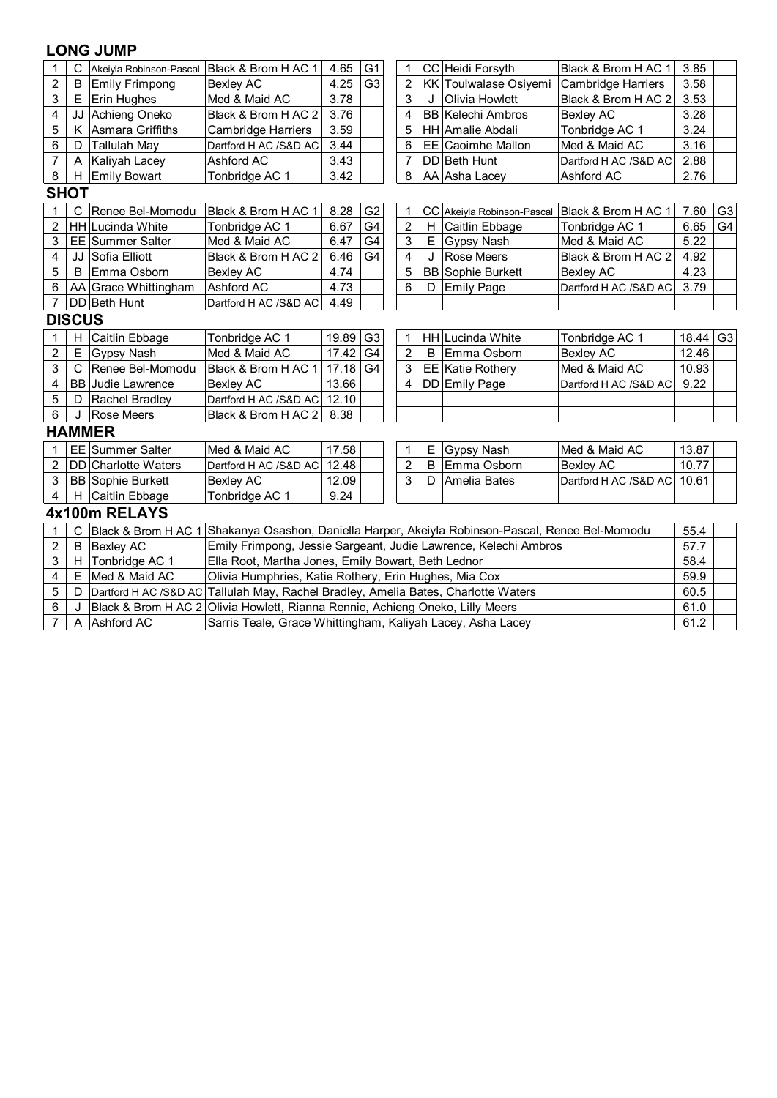| $\mathbf{1}$            | C             | Akeiyla Robinson-Pascal    | Black & Brom H AC 1                                                                              | 4.65  | G <sub>1</sub> | 1                       |   | CC Heidi Forsyth                                                | Black & Brom H AC 1                            | 3.85     |                |
|-------------------------|---------------|----------------------------|--------------------------------------------------------------------------------------------------|-------|----------------|-------------------------|---|-----------------------------------------------------------------|------------------------------------------------|----------|----------------|
| $\overline{2}$          | B             | Emily Frimpong             | <b>Bexley AC</b>                                                                                 | 4.25  | G <sub>3</sub> | 2                       |   | KK Toulwalase Osiyemi                                           | <b>Cambridge Harriers</b>                      | 3.58     |                |
| 3                       |               | E Erin Hughes              | Med & Maid AC                                                                                    | 3.78  |                | 3                       |   | Olivia Howlett                                                  | Black & Brom H AC 2                            | 3.53     |                |
| 4                       |               | JJ Achieng Oneko           | Black & Brom H AC 2                                                                              | 3.76  |                | 4                       |   | <b>BB Kelechi Ambros</b>                                        | <b>Bexley AC</b>                               | 3.28     |                |
| 5                       | Κ             | Asmara Griffiths           | Cambridge Harriers                                                                               | 3.59  |                | 5                       |   | HH Amalie Abdali                                                | Tonbridge AC 1                                 | 3.24     |                |
| 6                       | D             | <b>Tallulah May</b>        | Dartford H AC /S&D AC                                                                            | 3.44  |                | 6                       |   | <b>EE Caoimhe Mallon</b>                                        | Med & Maid AC                                  | 3.16     |                |
| $\overline{7}$          | A             | Kaliyah Lacey              | Ashford AC                                                                                       | 3.43  |                | 7                       |   | DD Beth Hunt                                                    | Dartford H AC /S&D AC                          | 2.88     |                |
| 8                       |               | H Emily Bowart             | Tonbridge AC 1                                                                                   | 3.42  |                | 8                       |   | AA Asha Lacey                                                   | Ashford AC                                     | 2.76     |                |
|                         | <b>SHOT</b>   |                            |                                                                                                  |       |                |                         |   |                                                                 |                                                |          |                |
| 1                       | C             | Renee Bel-Momodu           | Black & Brom H AC 1                                                                              | 8.28  | G <sub>2</sub> | 1                       |   |                                                                 | CC Akeiyla Robinson-Pascal Black & Brom H AC 1 | 7.60     | G <sub>3</sub> |
| 2                       |               | <b>HH</b> Lucinda White    | Tonbridge AC 1                                                                                   | 6.67  | G <sub>4</sub> | $\overline{2}$          | H | Caitlin Ebbage                                                  | Tonbridge AC 1                                 | 6.65     | G <sub>4</sub> |
| 3                       |               | <b>EE</b> Summer Salter    | Med & Maid AC                                                                                    | 6.47  | G4             | 3                       | Е | Gypsy Nash                                                      | Med & Maid AC                                  | 5.22     |                |
| 4                       |               | JJ Sofia Elliott           | Black & Brom H AC 2                                                                              | 6.46  | G4             | $\overline{\mathbf{4}}$ | J | Rose Meers                                                      | Black & Brom H AC 2                            | 4.92     |                |
| 5                       | B             | Emma Osborn                | <b>Bexley AC</b>                                                                                 | 4.74  |                | 5                       |   | <b>BB</b> Sophie Burkett                                        | <b>Bexley AC</b>                               | 4.23     |                |
| 6                       |               | AA Grace Whittingham       | Ashford AC                                                                                       | 4.73  |                | 6                       | D | <b>Emily Page</b>                                               | Dartford H AC /S&D AC                          | 3.79     |                |
| $\overline{7}$          |               | DD Beth Hunt               | Dartford H AC /S&D AC                                                                            | 4.49  |                |                         |   |                                                                 |                                                |          |                |
|                         | <b>DISCUS</b> |                            |                                                                                                  |       |                |                         |   |                                                                 |                                                |          |                |
| 1                       | н             | Caitlin Ebbage             | Tonbridge AC 1                                                                                   | 19.89 | G <sub>3</sub> | 1                       |   | <b>HH Lucinda White</b>                                         | Tonbridge AC 1                                 | 18.44 G3 |                |
| $\overline{\mathbf{c}}$ |               | E Gypsy Nash               | Med & Maid AC                                                                                    | 17.42 | G <sub>4</sub> | $\overline{2}$          | B | Emma Osborn                                                     | <b>Bexley AC</b>                               | 12.46    |                |
| 3                       | C             | Renee Bel-Momodu           | Black & Brom H AC 1                                                                              | 17.18 | G4             | 3                       |   | <b>EE</b> Katie Rothery                                         | Med & Maid AC                                  | 10.93    |                |
| 4                       |               | <b>BB</b> Judie Lawrence   | <b>Bexley AC</b>                                                                                 | 13.66 |                | 4                       |   | DD Emily Page                                                   | Dartford H AC /S&D AC                          | 9.22     |                |
| 5                       | D             | Rachel Bradley             | Dartford H AC /S&D AC                                                                            | 12.10 |                |                         |   |                                                                 |                                                |          |                |
| 6                       | J             | <b>Rose Meers</b>          | Black & Brom H AC 2                                                                              | 8.38  |                |                         |   |                                                                 |                                                |          |                |
|                         |               | <b>HAMMER</b>              |                                                                                                  |       |                |                         |   |                                                                 |                                                |          |                |
| 1                       |               | <b>EE</b> Summer Salter    | Med & Maid AC                                                                                    | 17.58 |                | 1                       | Е | Gypsy Nash                                                      | Med & Maid AC                                  | 13.87    |                |
| 2                       |               | <b>DD</b> Charlotte Waters | Dartford H AC /S&D AC                                                                            | 12.48 |                | $\overline{2}$          | B | Emma Osborn                                                     | <b>Bexley AC</b>                               | 10.77    |                |
| 3                       |               | <b>BB</b> Sophie Burkett   | <b>Bexley AC</b>                                                                                 | 12.09 |                | 3                       | D | Amelia Bates                                                    | Dartford H AC /S&D AC                          | 10.61    |                |
| $\overline{4}$          |               | H Caitlin Ebbage           | Tonbridge AC 1                                                                                   | 9.24  |                |                         |   |                                                                 |                                                |          |                |
|                         |               | 4x100m RELAYS              |                                                                                                  |       |                |                         |   |                                                                 |                                                |          |                |
| 1                       | C             |                            | Black & Brom H AC 1 Shakanya Osashon, Daniella Harper, Akeiyla Robinson-Pascal, Renee Bel-Momodu |       |                |                         |   |                                                                 |                                                | 55.4     |                |
| $\overline{2}$          | B             | <b>Bexley AC</b>           |                                                                                                  |       |                |                         |   | Emily Frimpong, Jessie Sargeant, Judie Lawrence, Kelechi Ambros |                                                | 57.7     |                |
| 3                       |               | H Tonbridge AC 1           | Ella Root, Martha Jones, Emily Bowart, Beth Lednor                                               |       |                |                         |   |                                                                 |                                                | 58.4     |                |
| 4                       | Ε             | Med & Maid AC              | Olivia Humphries, Katie Rothery, Erin Hughes, Mia Cox                                            |       |                |                         |   |                                                                 |                                                | 59.9     |                |
| 5                       | D             |                            | Dartford H AC /S&D AC Tallulah May, Rachel Bradley, Amelia Bates, Charlotte Waters               |       |                |                         |   |                                                                 |                                                | 60.5     |                |
| 6                       | J             |                            | Black & Brom H AC 2 Olivia Howlett, Rianna Rennie, Achieng Oneko, Lilly Meers                    |       |                |                         |   |                                                                 |                                                | 61.0     |                |
| $\overline{7}$          |               | A Ashford AC               | Sarris Teale, Grace Whittingham, Kaliyah Lacey, Asha Lacey                                       |       |                |                         |   |                                                                 |                                                | 61.2     |                |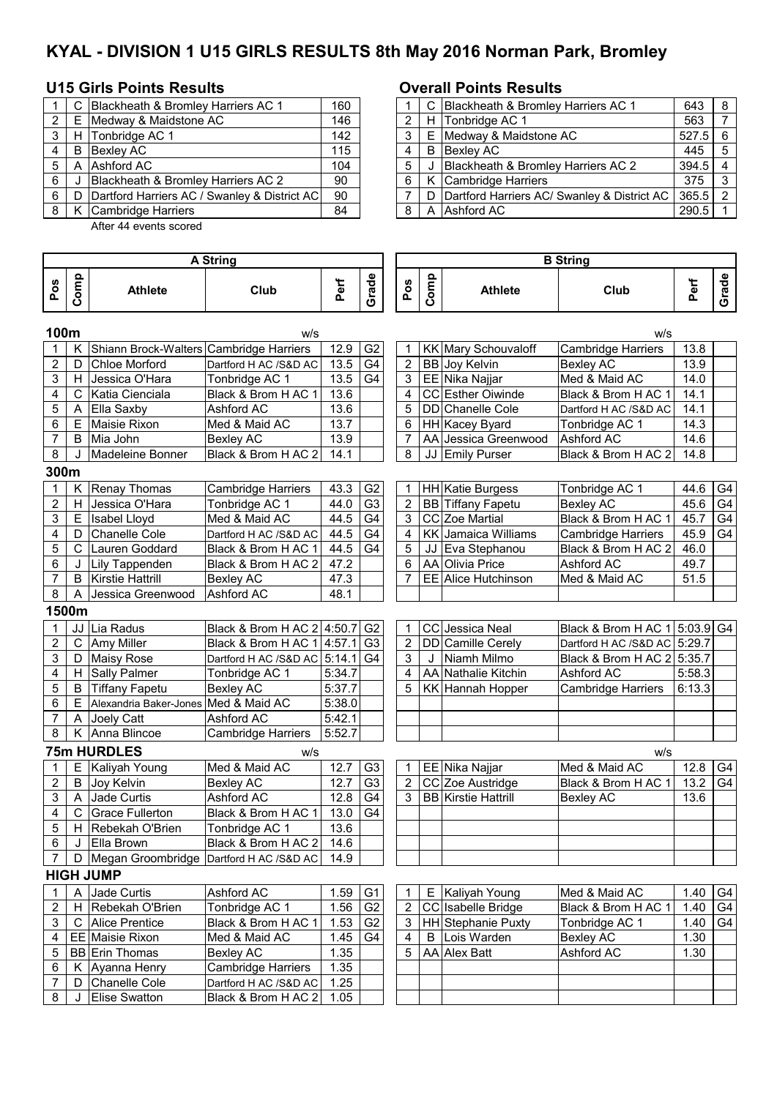# **KYAL - DIVISION 1 U15 GIRLS RESULTS 8th May 2016 Norman Park, Bromley**

## **U15 Girls Points Results Overall Points Results**

|   | C Blackheath & Bromley Harriers AC 1             | 160 |     |   | C Blackheath & Bromley Harriers AC 1        |
|---|--------------------------------------------------|-----|-----|---|---------------------------------------------|
| 2 | E Medway & Maidstone AC                          | 146 |     |   | H Tonbridge AC 1                            |
|   | H Tonbridge AC 1                                 | 142 | 3 I |   | E Medway & Maidstone AC                     |
|   | B Bexley AC                                      | 115 | 4   | B | Bexley AC                                   |
| 5 | A Ashford AC                                     | 104 |     |   | Blackheath & Bromley Harriers AC 2          |
| 6 | Blackheath & Bromley Harriers AC 2               | 90  | - 6 |   | K Cambridge Harriers                        |
| 6 | D   Dartford Harriers AC / Swanley & District AC | 90  |     | D | Dartford Harriers AC/ Swanley & District AC |
|   | K   Cambridge Harriers                           | 84  | 8   |   | A Ashford AC                                |
|   |                                                  |     |     |   |                                             |

After 44 events scored

|       |     | C Blackheath & Bromley Harriers AC 1         | 160 |  | C Blackheath & Bromley Harriers AC 1            | 643   | 8   |
|-------|-----|----------------------------------------------|-----|--|-------------------------------------------------|-------|-----|
| 2   E |     | Medway & Maidstone AC                        | 146 |  | H Tonbridge AC 1                                | 563   |     |
| 3   H |     | Tonbridge AC 1                               | 142 |  | E Medway & Maidstone AC                         | 527.5 | - 6 |
| 4     | B   | <b>Bexley AC</b>                             | 115 |  | <b>B</b> Bexley AC                              | 445   |     |
| 5     | A   | Ashford AC                                   | 104 |  | Blackheath & Bromley Harriers AC 2              | 394.5 |     |
| 6     |     | Blackheath & Bromley Harriers AC 2           | 90  |  | K Cambridge Harriers                            | 375   |     |
| 6 I   | - D | Dartford Harriers AC / Swanley & District AC | 90  |  | D   Dartford Harriers AC/ Swanley & District AC | 365.5 |     |
| 8 I   |     | K Cambridge Harriers                         | 84  |  | A Ashford AC                                    | 290.5 |     |

|      | <b>A String</b> |                                         |                            |             |                |                | <b>B</b> String |                            |                               |        |                |  |
|------|-----------------|-----------------------------------------|----------------------------|-------------|----------------|----------------|-----------------|----------------------------|-------------------------------|--------|----------------|--|
| Pos  | Comp            | <b>Athlete</b>                          | Club                       | Perf        | Grade          | Pos            | Comp            | <b>Athlete</b>             | Club                          | Perf   | Grade          |  |
| 100m |                 |                                         | w/s                        |             |                |                |                 |                            | w/s                           |        |                |  |
|      | K               | Shiann Brock-Walters Cambridge Harriers |                            | 12.9        | G <sub>2</sub> | 1              |                 | KK Mary Schouvaloff        | <b>Cambridge Harriers</b>     | 13.8   |                |  |
| 2    | D               | Chloe Morford                           | Dartford H AC /S&D AC      | 13.5        | G <sub>4</sub> | $\overline{2}$ |                 | BB Joy Kelvin              | <b>Bexley AC</b>              | 13.9   |                |  |
| 3    | H               | Jessica O'Hara                          | Tonbridge AC 1             | 13.5        | G <sub>4</sub> | 3              |                 | EE Nika Najjar             | Med & Maid AC                 | 14.0   |                |  |
| 4    | C               | Katia Cienciala                         | Black & Brom H AC 1        | 13.6        |                | 4              |                 | CC Esther Oiwinde          | Black & Brom H AC 1           | 14.1   |                |  |
| 5    | Α               | Ella Saxby                              | Ashford AC                 | 13.6        |                | 5              |                 | DD Chanelle Cole           | Dartford H AC /S&D AC         | 14.1   |                |  |
| 6    | Е               | Maisie Rixon                            | Med & Maid AC              | 13.7        |                | 6              |                 | HH Kacey Byard             | Tonbridge AC 1                | 14.3   |                |  |
| 7    | B               | Mia John                                | <b>Bexley AC</b>           | 13.9        |                | 7              |                 | AA Jessica Greenwood       | Ashford AC                    | 14.6   |                |  |
| 8    | J               | Madeleine Bonner                        | Black & Brom H AC 2        | 14.1        |                | 8              |                 | JJ Emily Purser            | Black & Brom H AC 2           | 14.8   |                |  |
|      | 300m            |                                         |                            |             |                |                |                 |                            |                               |        |                |  |
|      | Κ               | Renay Thomas                            | Cambridge Harriers         | 43.3        | G <sub>2</sub> | 1              |                 | HH Katie Burgess           | Tonbridge AC 1                | 44.6   | G <sub>4</sub> |  |
| 2    | н               | Jessica O'Hara                          | Tonbridge AC 1             | 44.0        | G3             | $\overline{2}$ |                 | <b>BB</b> Tiffany Fapetu   | <b>Bexley AC</b>              | 45.6   | G4             |  |
| 3    | E               | Isabel Lloyd                            | Med & Maid AC              | 44.5        | G <sub>4</sub> | 3              |                 | CC Zoe Martial             | Black & Brom H AC 1           | 45.7   | G4             |  |
| 4    | D               | Chanelle Cole                           | Dartford H AC /S&D AC      | 44.5        | G <sub>4</sub> | 4              |                 | KK Jamaica Williams        | Cambridge Harriers            | 45.9   | G4             |  |
| 5    | $\overline{C}$  | Lauren Goddard                          | Black & Brom H AC 1        | 44.5        | G <sub>4</sub> | 5              |                 | JJ Eva Stephanou           | Black & Brom H AC 2           | 46.0   |                |  |
| 6    | J               | Lily Tappenden                          | Black & Brom H AC 2        | 47.2        |                | 6              |                 | AA Olivia Price            | Ashford AC                    | 49.7   |                |  |
| 7    | B               | Kirstie Hattrill                        | <b>Bexley AC</b>           | 47.3        |                | 7              |                 | EE Alice Hutchinson        | Med & Maid AC                 | 51.5   |                |  |
| 8    | A               | Jessica Greenwood                       | Ashford AC                 | 48.1        |                |                |                 |                            |                               |        |                |  |
|      | 1500m           |                                         |                            |             |                |                |                 |                            |                               |        |                |  |
| 1    | JJ              | Lia Radus                               | Black & Brom H AC 2 4:50.7 |             | G <sub>2</sub> | $\mathbf 1$    |                 | CC Jessica Neal            | Black & Brom H AC 1 5:03.9 G4 |        |                |  |
| 2    | $\mathbf C$     | <b>Amy Miller</b>                       | Black & Brom H AC 1 4:57.1 |             | G <sub>3</sub> | 2              |                 | DD Camille Cerely          | Dartford H AC /S&D AC 5:29.7  |        |                |  |
| 3    | D               | <b>Maisy Rose</b>                       | Dartford H AC /S&D AC      | $5:14.1$ G4 |                | 3              | J               | Niamh Milmo                | Black & Brom H AC 2 5:35.7    |        |                |  |
| 4    | H               | Sally Palmer                            | Tonbridge AC 1             | 5:34.7      |                | 4              |                 | AA Nathalie Kitchin        | Ashford AC                    | 5:58.3 |                |  |
| 5    | B               | <b>Tiffany Fapetu</b>                   | <b>Bexley AC</b>           | 5:37.7      |                | 5              |                 | KK Hannah Hopper           | Cambridge Harriers            | 6:13.3 |                |  |
| 6    | E               | Alexandria Baker-Jones Med & Maid AC    |                            | 5:38.0      |                |                |                 |                            |                               |        |                |  |
| 7    | A               | Joely Catt                              | Ashford AC                 | 5:42.1      |                |                |                 |                            |                               |        |                |  |
| 8    |                 | K Anna Blincoe                          | Cambridge Harriers         | 5:52.7      |                |                |                 |                            |                               |        |                |  |
|      |                 | <b>75m HURDLES</b>                      | w/s                        |             |                |                |                 |                            | w/s                           |        |                |  |
| 1    | Е               | Kaliyah Young                           | Med & Maid AC              | 12.7        | G <sub>3</sub> | $\mathbf 1$    |                 | EE Nika Najjar             | Med & Maid AC                 | 12.8   | G4             |  |
| 2    | B               | Joy Kelvin                              | <b>Bexley AC</b>           | 12.7        | G <sub>3</sub> | $\overline{2}$ |                 | CC Zoe Austridge           | Black & Brom H AC 1           | 13.2   | G4             |  |
| 3    | A               | Jade Curtis                             | <b>Ashford AC</b>          | 12.8        | G <sub>4</sub> | 3              |                 | <b>BB</b> Kirstie Hattrill | <b>Bexley AC</b>              | 13.6   |                |  |
| 4    | $\mathsf C$     | <b>Grace Fullerton</b>                  | Black & Brom H AC 1        | 13.0        | G <sub>4</sub> |                |                 |                            |                               |        |                |  |
| 5    | H               | Rebekah O'Brien                         | Tonbridge AC 1             | 13.6        |                |                |                 |                            |                               |        |                |  |
| 6    | J               | Ella Brown                              | Black & Brom H AC 2        | 14.6        |                |                |                 |                            |                               |        |                |  |
| 7    | D               | Megan Groombridge Dartford H AC /S&D AC |                            | 14.9        |                |                |                 |                            |                               |        |                |  |
|      |                 | <b>HIGH JUMP</b>                        |                            |             |                |                |                 |                            |                               |        |                |  |
| 1    | Α               | Jade Curtis                             | Ashford AC                 | 1.59        | G <sub>1</sub> | 1              | Е               | Kaliyah Young              | Med & Maid AC                 | 1.40   | G4             |  |
| 2    |                 | H Rebekah O'Brien                       | Tonbridge AC 1             | 1.56        | G <sub>2</sub> | $\overline{2}$ |                 | CC Isabelle Bridge         | Black & Brom H AC 1           | 1.40   | G <sub>4</sub> |  |
| 3    | $\mathsf C$     | <b>Alice Prentice</b>                   | Black & Brom H AC 1        | 1.53        | G <sub>2</sub> | $\sqrt{3}$     |                 | HH Stephanie Puxty         | Tonbridge AC 1                | 1.40   | G <sub>4</sub> |  |
| 4    |                 | EE Maisie Rixon                         | Med & Maid AC              | 1.45        | G4             | 4              | B               | Lois Warden                | <b>Bexley AC</b>              | 1.30   |                |  |
| 5    |                 | <b>BB</b> Erin Thomas                   | <b>Bexley AC</b>           | 1.35        |                | 5              |                 | AA Alex Batt               | Ashford AC                    | 1.30   |                |  |
| 6    | K               | Ayanna Henry                            | Cambridge Harriers         | 1.35        |                |                |                 |                            |                               |        |                |  |
| 7    | D               | Chanelle Cole                           | Dartford H AC /S&D AC      | 1.25        |                |                |                 |                            |                               |        |                |  |
| 8    | J               | <b>Elise Swatton</b>                    | Black & Brom H AC 2        | 1.05        |                |                |                 |                            |                               |        |                |  |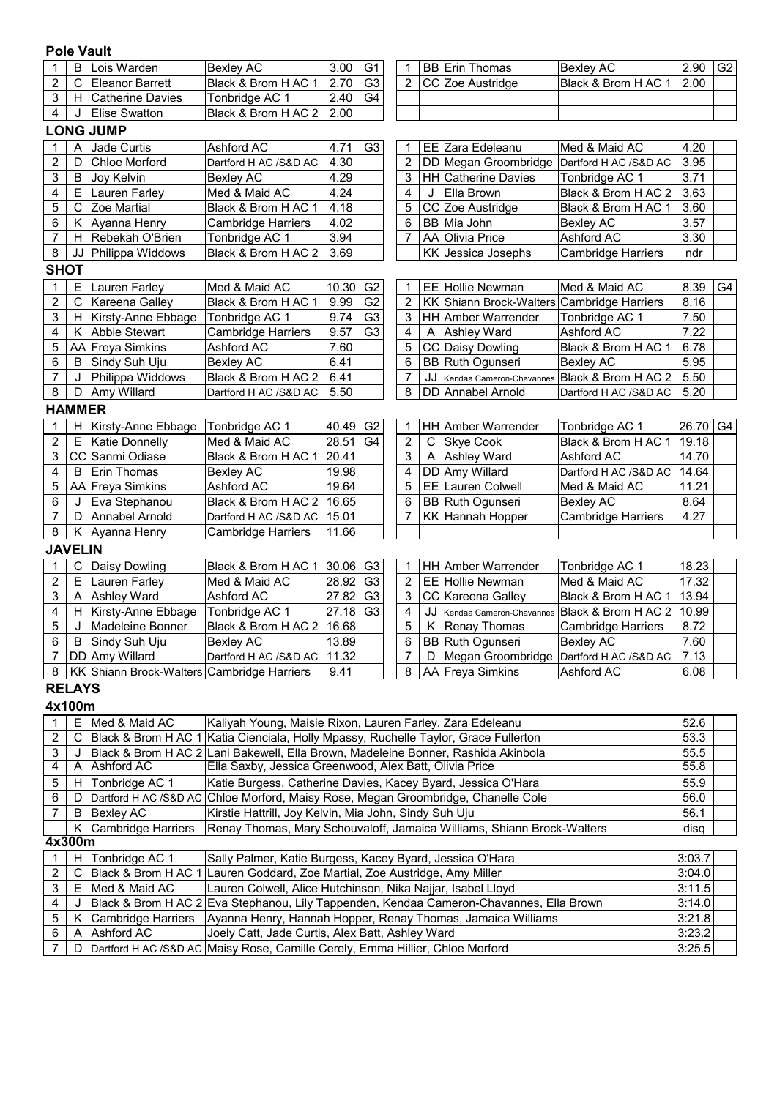#### **Pole Vault**

| 1              | B                                                                                | Lois Warden                                | <b>Bexley AC</b>                                                                  | 3.00           | G <sub>1</sub> | 1                       |                | <b>BB</b> Erin Thomas                                                  | <b>Bexley AC</b>          | 2.90              | G <sub>2</sub> |
|----------------|----------------------------------------------------------------------------------|--------------------------------------------|-----------------------------------------------------------------------------------|----------------|----------------|-------------------------|----------------|------------------------------------------------------------------------|---------------------------|-------------------|----------------|
| 2              | $\mathsf C$                                                                      | Eleanor Barrett                            | Black & Brom H AC 1                                                               | 2.70           | G <sub>3</sub> | $\overline{2}$          |                | CC Zoe Austridge                                                       | Black & Brom H AC 1       | 2.00              |                |
| 3              | H                                                                                | Catherine Davies                           | Tonbridge AC 1                                                                    | 2.40           | G4             |                         |                |                                                                        |                           |                   |                |
| 4              | J                                                                                | <b>Elise Swatton</b>                       | Black & Brom H AC 2                                                               | 2.00           |                |                         |                |                                                                        |                           |                   |                |
|                |                                                                                  | <b>LONG JUMP</b>                           |                                                                                   |                |                |                         |                |                                                                        |                           |                   |                |
|                | Α                                                                                | Jade Curtis                                | Ashford AC                                                                        | 4.71           | G <sub>3</sub> | 1                       |                | EE Zara Edeleanu                                                       | Med & Maid AC             | 4.20              |                |
| 2              | D                                                                                | <b>Chloe Morford</b>                       | Dartford H AC /S&D AC                                                             | 4.30           |                | $\overline{\mathbf{c}}$ |                | DD Megan Groombridge                                                   | Dartford H AC /S&D AC     | 3.95              |                |
| 3              | B                                                                                | Joy Kelvin                                 | <b>Bexley AC</b>                                                                  | 4.29           |                | 3                       |                | <b>HH</b> Catherine Davies                                             | Tonbridge AC 1            | 3.71              |                |
| 4              | E                                                                                | Lauren Farley                              | Med & Maid AC                                                                     | 4.24           |                | 4                       | J              | Ella Brown                                                             | Black & Brom H AC 2       | 3.63              |                |
| 5              | $\mathsf{C}$                                                                     | Zoe Martial                                | Black & Brom H AC 1                                                               | 4.18           |                | 5                       |                | CC Zoe Austridge                                                       | Black & Brom H AC 1       | 3.60              |                |
| 6              |                                                                                  | K Ayanna Henry                             | Cambridge Harriers                                                                | 4.02           |                | 6                       |                | BB Mia John                                                            | <b>Bexley AC</b>          | 3.57              |                |
| 7              |                                                                                  | H Rebekah O'Brien                          | Tonbridge AC 1                                                                    | 3.94           |                | 7                       |                | AA Olivia Price                                                        | <b>Ashford AC</b>         | 3.30              |                |
| 8              |                                                                                  | JJ Philippa Widdows                        | Black & Brom H AC 2                                                               | 3.69           |                |                         |                | KK Jessica Josephs                                                     | <b>Cambridge Harriers</b> | ndr               |                |
| <b>SHOT</b>    |                                                                                  |                                            |                                                                                   |                |                |                         |                |                                                                        |                           |                   |                |
| 1              | E.                                                                               | Lauren Farley                              | Med & Maid AC                                                                     | 10.30          | G <sub>2</sub> | 1                       |                | EE Hollie Newman                                                       | Med & Maid AC             | 8.39              | G <sub>4</sub> |
| 2              |                                                                                  | C Kareena Galley                           | Black & Brom H AC 1                                                               | 9.99           | G <sub>2</sub> | 2                       |                | KK Shiann Brock-Walters                                                | Cambridge Harriers        | 8.16              |                |
| 3              |                                                                                  | H   Kirsty-Anne Ebbage                     | Tonbridge AC 1                                                                    | 9.74           | G <sub>3</sub> | 3                       |                | <b>HH</b> Amber Warrender                                              | Tonbridge AC 1            | 7.50              |                |
| 4              |                                                                                  | K Abbie Stewart                            | <b>Cambridge Harriers</b>                                                         | 9.57           | G <sub>3</sub> | 4                       | A              | <b>Ashley Ward</b>                                                     | Ashford AC                | 7.22              |                |
| 5              |                                                                                  | AA Freya Simkins                           | Ashford AC                                                                        | 7.60           |                | 5                       |                | CC Daisy Dowling                                                       | Black & Brom H AC 1       | 6.78              |                |
| 6              | B                                                                                | Sindy Suh Uju                              | <b>Bexley AC</b>                                                                  | 6.41           |                | 6                       |                | BB Ruth Ogunseri                                                       | <b>Bexley AC</b>          | 5.95              |                |
| $\overline{7}$ | J                                                                                | Philippa Widdows                           | Black & Brom H AC 2                                                               | 6.41           |                | 7                       | JJ             | Kendaa Cameron-Chavannes                                               | Black & Brom H AC 2       | 5.50              |                |
| 8              | D                                                                                | Amy Willard                                | Dartford H AC /S&D AC                                                             | 5.50           |                | 8                       |                | DD Annabel Arnold                                                      | Dartford H AC /S&D AC     | 5.20              |                |
|                | <b>HAMMER</b>                                                                    |                                            |                                                                                   |                |                |                         |                |                                                                        |                           |                   |                |
|                |                                                                                  |                                            |                                                                                   |                |                |                         |                |                                                                        |                           |                   |                |
| 1              | H.                                                                               | Kirsty-Anne Ebbage                         | Tonbridge AC 1<br>Med & Maid AC                                                   | 40.49<br>28.51 | G <sub>2</sub> | 1                       |                | HH Amber Warrender                                                     | Tonbridge AC 1            | 26.70 G4<br>19.18 |                |
| 2              |                                                                                  | E   Katie Donnelly                         |                                                                                   |                | G4             | $\overline{c}$          | C              | Skye Cook                                                              | Black & Brom H AC 1       |                   |                |
| 3              |                                                                                  | CC Sanmi Odiase                            | Black & Brom H AC 1                                                               | 20.41          |                | 3                       | $\overline{A}$ | <b>Ashley Ward</b>                                                     | Ashford AC                | 14.70             |                |
| 4              | B                                                                                | Erin Thomas                                | <b>Bexley AC</b>                                                                  | 19.98          |                | 4                       |                | DD Amy Willard                                                         | Dartford H AC /S&D AC     | 14.64             |                |
| 5              |                                                                                  | AA Freya Simkins                           | Ashford AC                                                                        | 19.64          |                | 5                       |                | EE Lauren Colwell                                                      | Med & Maid AC             | 11.21             |                |
| 6              | J                                                                                | Eva Stephanou                              | Black & Brom H AC 2                                                               | 16.65          |                | 6                       |                | BB Ruth Ogunseri                                                       | <b>Bexley AC</b>          | 8.64              |                |
| 7              | D                                                                                | Annabel Arnold                             | Dartford H AC /S&D AC                                                             | 15.01          |                | 7                       |                | KK Hannah Hopper                                                       | Cambridge Harriers        | 4.27              |                |
| 8              | Κ                                                                                | Ayanna Henry                               | <b>Cambridge Harriers</b>                                                         | 11.66          |                |                         |                |                                                                        |                           |                   |                |
|                | <b>JAVELIN</b>                                                                   |                                            |                                                                                   |                |                |                         |                |                                                                        |                           |                   |                |
|                | $\mathsf C$                                                                      | Daisy Dowling                              | Black & Brom H AC 1                                                               | 30.06          | G <sub>3</sub> | 1                       |                | <b>HH</b> Amber Warrender                                              | Tonbridge AC 1            | 18.23             |                |
| 2              | E.                                                                               | Lauren Farley                              | Med & Maid AC                                                                     | 28.92          | G <sub>3</sub> | $\mathbf{2}$            |                | EE Hollie Newman                                                       | Med & Maid AC             | 17.32             |                |
| 3              | A                                                                                | <b>Ashley Ward</b>                         | Ashford AC                                                                        | 27.82          | G <sub>3</sub> | 3                       |                | CC Kareena Galley                                                      | Black & Brom H AC 1       | 13.94             |                |
| 4              |                                                                                  | H Kirsty-Anne Ebbage                       | Tonbridge AC 1                                                                    | 27.18          | G <sub>3</sub> | 4                       | JJ             | Kendaa Cameron-Chavannes                                               | Black & Brom H AC 2       | 10.99             |                |
| 5              | J                                                                                | Madeleine Bonner                           | Black & Brom H AC 2                                                               | 16.68          |                | 5                       | Κ              | <b>Renay Thomas</b>                                                    | <b>Cambridge Harriers</b> | 8.72              |                |
| 6              | B                                                                                | Sindy Suh Uju                              | <b>Bexley AC</b>                                                                  | 13.89          |                | 6                       |                | <b>BB</b> Ruth Ogunseri                                                | <b>Bexley AC</b>          | 7.60              |                |
| 7              |                                                                                  | DD Amy Willard                             | Dartford H AC /S&D AC   11.32                                                     |                |                | 7                       | D              | Megan Groombridge   Dartford H AC / S&D AC                             |                           | 7.13              |                |
| 8              |                                                                                  | KK Shiann Brock-Walters Cambridge Harriers |                                                                                   | 9.41           |                | 8                       |                | AA Freya Simkins                                                       | Ashford AC                | 6.08              |                |
|                | <b>RELAYS</b>                                                                    |                                            |                                                                                   |                |                |                         |                |                                                                        |                           |                   |                |
|                | 4x100m                                                                           |                                            |                                                                                   |                |                |                         |                |                                                                        |                           |                   |                |
| 1              |                                                                                  | E Med & Maid AC                            | Kaliyah Young, Maisie Rixon, Lauren Farley, Zara Edeleanu                         |                |                |                         |                |                                                                        |                           | 52.6              |                |
| 2              | С                                                                                | Black & Brom H AC 1                        | Katia Cienciala, Holly Mpassy, Ruchelle Taylor, Grace Fullerton                   |                |                |                         |                |                                                                        |                           | 53.3              |                |
| 3              | J                                                                                |                                            | Black & Brom H AC 2 Lani Bakewell, Ella Brown, Madeleine Bonner, Rashida Akinbola |                |                |                         |                |                                                                        |                           | 55.5              |                |
| 4              | A                                                                                | Ashford AC                                 | Ella Saxby, Jessica Greenwood, Alex Batt, Olivia Price                            |                |                |                         |                |                                                                        |                           | 55.8              |                |
| 5              | H.                                                                               | Tonbridge AC 1                             | Katie Burgess, Catherine Davies, Kacey Byard, Jessica O'Hara                      |                |                |                         |                |                                                                        |                           | 55.9              |                |
| 6              | D                                                                                | Dartford H AC /S&D AC                      | Chloe Morford, Maisy Rose, Megan Groombridge, Chanelle Cole                       |                |                |                         |                |                                                                        |                           | 56.0              |                |
| 7              | B                                                                                | <b>Bexley AC</b>                           | Kirstie Hattrill, Joy Kelvin, Mia John, Sindy Suh Uju                             |                |                |                         |                |                                                                        |                           | 56.1              |                |
|                | K.                                                                               | Cambridge Harriers                         |                                                                                   |                |                |                         |                | Renay Thomas, Mary Schouvaloff, Jamaica Williams, Shiann Brock-Walters |                           | disq              |                |
|                | 4x300m                                                                           |                                            |                                                                                   |                |                |                         |                |                                                                        |                           |                   |                |
|                | 1   H Tonbridge AC 1<br>Sally Palmer, Katie Burgess, Kacey Byard, Jessica O'Hara |                                            |                                                                                   |                |                |                         |                | 3:03.7                                                                 |                           |                   |                |

2 | C |Black & Brom H AC 1 |Lauren Goddard, Zoe Martial, Zoe Austridge, Amy Miller |3:04.0 3 | E |Med & Maid AC |Lauren Colwell, Alice Hutchinson, Nika Najjar, Isabel Lloyd |3:11.5 4 | J |Black & Brom H AC 2|Eva Stephanou, Lily Tappenden, Kendaa Cameron-Chavannes, Ella Brown |3:14.0 5 | K |Cambridge Harriers |Ayanna Henry, Hannah Hopper, Renay Thomas, Jamaica Williams |3:21.8 6 A Ashford AC 3:23.2 Joely Catt, Jade Curtis, Alex Batt, Ashley Ward 7 | D |Dartford H AC /S&D AC |Maisy Rose, Camille Cerely, Emma Hillier, Chloe Morford |3:25.5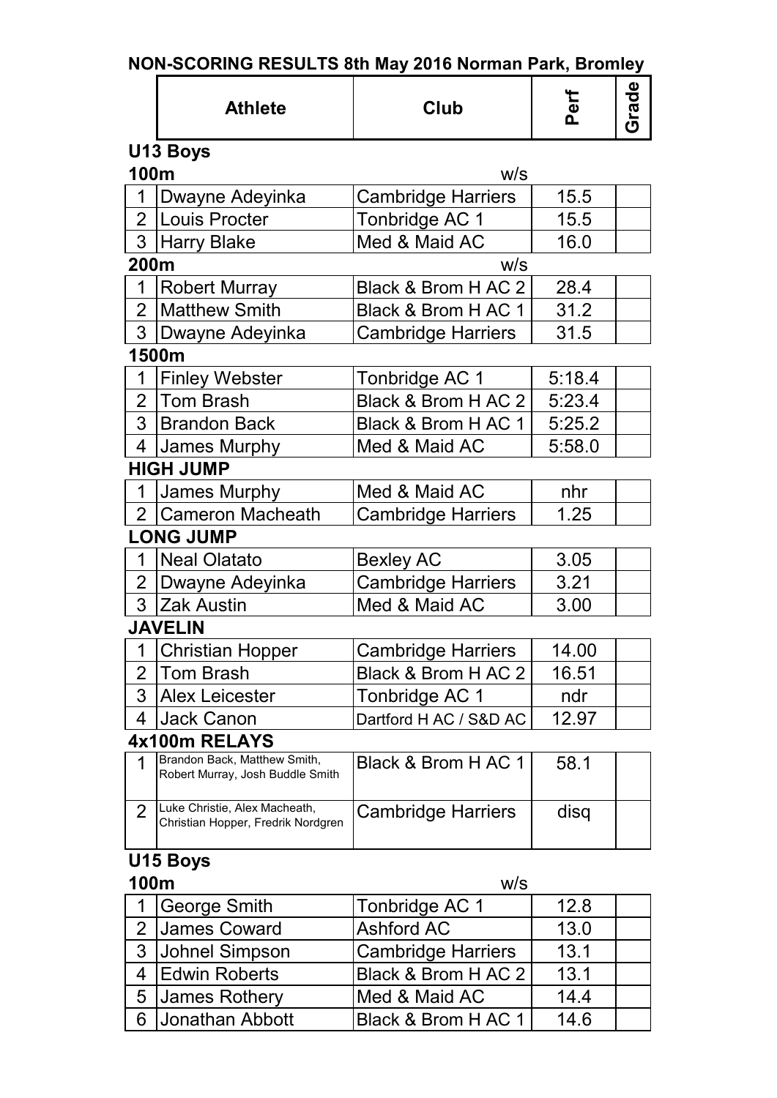|  |  |  |  | NON-SCORING RESULTS 8th May 2016 Norman Park, Bromley |
|--|--|--|--|-------------------------------------------------------|
|--|--|--|--|-------------------------------------------------------|

|                | <b>Athlete</b>                                                      | Club                                                          | Perf             | Grade |
|----------------|---------------------------------------------------------------------|---------------------------------------------------------------|------------------|-------|
|                | U13 Boys                                                            |                                                               |                  |       |
| 100m           |                                                                     | W/S                                                           |                  |       |
| 1              | Dwayne Adeyinka                                                     | <b>Cambridge Harriers</b>                                     | 15.5             |       |
|                | 2 Louis Procter                                                     | Tonbridge AC 1                                                | 15.5             |       |
| 3 <sup>1</sup> | <b>Harry Blake</b>                                                  | Med & Maid AC                                                 | 16.0             |       |
| 200m           |                                                                     | W/S                                                           |                  |       |
| $\mathbf 1$    | <b>Robert Murray</b>                                                | Black & Brom H AC 2                                           | 28.4             |       |
| $\overline{2}$ | <b>Matthew Smith</b>                                                | Black & Brom H AC 1                                           | 31.2             |       |
|                | 3 Dwayne Adeyinka                                                   | <b>Cambridge Harriers</b>                                     | 31.5             |       |
|                | 1500m                                                               |                                                               |                  |       |
| 1              | <b>Finley Webster</b>                                               | Tonbridge AC 1                                                | 5:18.4           |       |
| $\overline{2}$ | <b>Tom Brash</b>                                                    | Black & Brom H AC 2                                           | 5:23.4           |       |
| 3              | <b>Brandon Back</b>                                                 | Black & Brom H AC 1                                           | 5:25.2           |       |
| $\overline{4}$ | James Murphy                                                        | Med & Maid AC                                                 | 5:58.0           |       |
|                | <b>HIGH JUMP</b>                                                    |                                                               |                  |       |
| $\mathbf 1$    | James Murphy                                                        | Med & Maid AC                                                 | nhr              |       |
|                | 2 Cameron Macheath                                                  | <b>Cambridge Harriers</b>                                     | 1.25             |       |
|                | <b>LONG JUMP</b>                                                    |                                                               |                  |       |
| $\mathbf 1$    | <b>Neal Olatato</b>                                                 | <b>Bexley AC</b>                                              | 3.05             |       |
|                | 2 Dwayne Adeyinka                                                   | <b>Cambridge Harriers</b>                                     | 3.21             |       |
| 3 <sup>1</sup> | <b>Zak Austin</b>                                                   | Med & Maid AC                                                 | 3.00             |       |
|                | <b>JAVELIN</b>                                                      |                                                               |                  |       |
| 1              | <b>Christian Hopper</b>                                             | <b>Cambridge Harriers</b>                                     | 14.00            |       |
| 2              | Tom Brash                                                           | Black & Brom H AC 2                                           | 16.51            |       |
| 3              | <b>Alex Leicester</b>                                               | Tonbridge AC 1                                                | ndr              |       |
| 4              | Jack Canon                                                          | Dartford H AC / S&D AC                                        | 12.97            |       |
|                | 4x100m RELAYS                                                       |                                                               |                  |       |
| 1              | Brandon Back, Matthew Smith,<br>Robert Murray, Josh Buddle Smith    | Black & Brom H AC 1                                           | 58.1             |       |
| $\overline{2}$ | Luke Christie, Alex Macheath,<br>Christian Hopper, Fredrik Nordgren | <b>Cambridge Harriers</b>                                     | disq             |       |
|                | U15 Boys                                                            |                                                               |                  |       |
| 100m           |                                                                     | W/S                                                           |                  |       |
| 1              | <b>George Smith</b>                                                 | Tonbridge AC 1                                                | 12.8             |       |
| 2              | <b>James Coward</b>                                                 | <b>Ashford AC</b>                                             | 13.0             |       |
| 3              | Johnel Simpson                                                      | Cambridge Harriers                                            | 13.1             |       |
|                | $\overline{\phantom{a}}$                                            | $D$ $\sim$ $\sim$ $\theta$ $D$ rom $\theta$ $\theta$ $\theta$ | $\overline{101}$ |       |

4 Edwin Roberts Black & Brom H AC 2 13.1<br>5 James Rothery Med & Maid AC 14.4 5 James Rothery Med & Maid AC 14.4<br>6 Jonathan Abbott Black & Brom H AC 1 14.6 Black & Brom H AC 1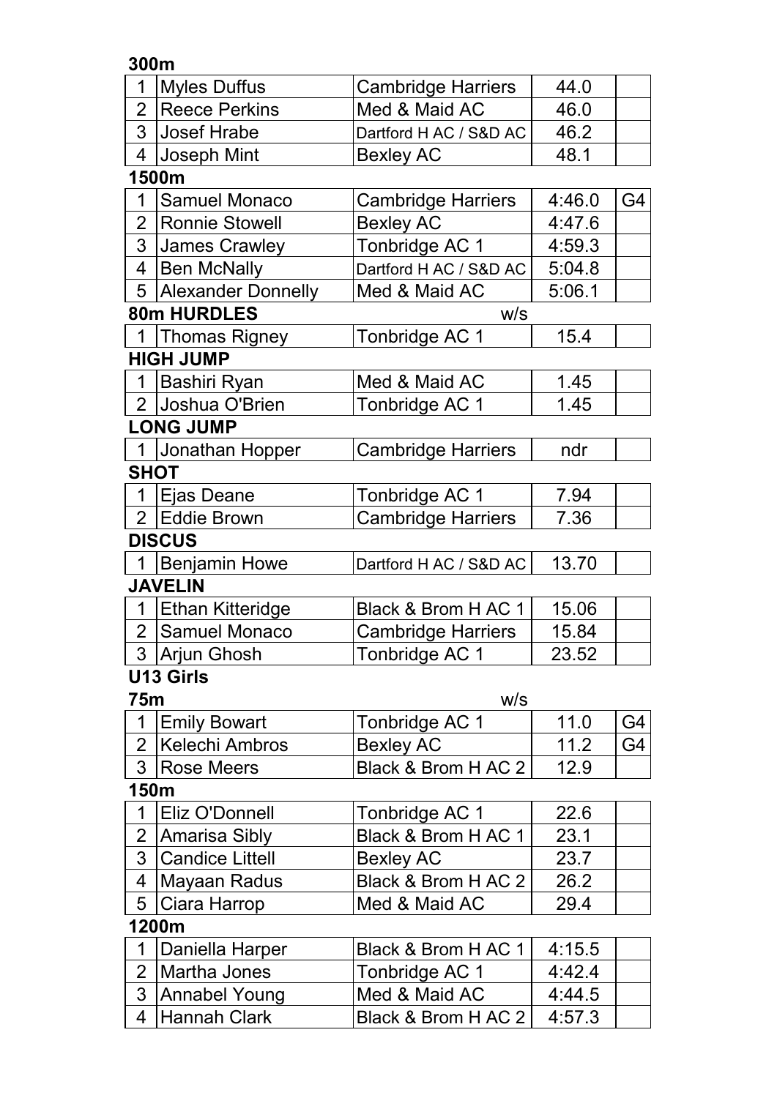**300m**

| 1 Myles Duffus     | Cambridge Harriers        | 44.0 |  |
|--------------------|---------------------------|------|--|
| 2 Reece Perkins    | IMed & Maid AC            | 46.0 |  |
| 3 Josef Hrabe      | IDartford H AC / S&D AC I | 46.2 |  |
| Joseph Mint        | <b>Bexley AC</b>          | 48.1 |  |
| <i><b>AFOO</b></i> |                           |      |  |

### **1500m**

| Samuel Monaco          | <b>Cambridge Harriers</b> | 4:46.0 | G4 |
|------------------------|---------------------------|--------|----|
| 2   Ronnie Stowell     | <b>Bexley AC</b>          | 4:47.6 |    |
| 3 James Crawley        | Tonbridge AC 1            | 4:59.3 |    |
| 4   Ben McNally        | Dartford H AC / S&D AC    | 5:04.8 |    |
| 5   Alexander Donnelly | Med & Maid AC             | 5:06.1 |    |
| <b>80m HIIRDI ES</b>   | wilc                      |        |    |

#### **80m HURDLES** w/s

| <b>Thomas Rigney</b> | Tonbridge AC 1 |  |
|----------------------|----------------|--|
| <b>HIGH JUMP</b>     |                |  |

| 2 IJoshua O'Brien<br>Tonbridge AC 1<br>1.45 |  |
|---------------------------------------------|--|

### **LONG JUMP**

|             | 1 Jonathan Hopper | Cambridge Harriers | ndr |  |  |  |  |
|-------------|-------------------|--------------------|-----|--|--|--|--|
| <b>SHOT</b> |                   |                    |     |  |  |  |  |

| <b>BIAAIIA</b> |                    |       |  |  |
|----------------|--------------------|-------|--|--|
| 2 Eddie Brown  | Cambridge Harriers | 7.36  |  |  |
| Eias Deane     | Tonbridge AC 1     | 7.94. |  |  |

#### **DISCUS**

|  | 1 Benjamin Howe | Dartford H AC / S&D AC | 13.70 |  |
|--|-----------------|------------------------|-------|--|
|--|-----------------|------------------------|-------|--|

## **JAVELIN**

| I Ethan Kitteridge | <b>IBlack &amp; Brom H AC 1</b> | 15.06 |  |
|--------------------|---------------------------------|-------|--|
| 2   Samuel Monaco  | Cambridge Harriers              | 15.84 |  |
| ∣ 3  Arjun Ghosh   | Tonbridge AC 1                  | 23.52 |  |

## **U13 Girls**

| 75m |                  | W/S                 |      |  |  |
|-----|------------------|---------------------|------|--|--|
|     | 1 Emily Bowart   | Tonbridge AC 1      | 11.0 |  |  |
|     | 2 Kelechi Ambros | Bexley AC           | 11 2 |  |  |
|     | 3 Rose Meers     | Black & Brom H AC 2 | 12.9 |  |  |

### **150m**

| 1 Eliz O'Donnell  | Tonbridge AC 1      | 22.6 |  |
|-------------------|---------------------|------|--|
| 2 Amarisa Sibly   | Black & Brom H AC 1 | 23.1 |  |
| 3 Candice Littell | <b>Bexley AC</b>    | 23.7 |  |
| 4 Mayaan Radus    | Black & Brom H AC 2 | 26.2 |  |
| 5 Ciara Harrop    | Med & Maid AC       | 29.4 |  |

## **1200m**

| 1   Daniella Harper | <b>IBlack &amp; Brom H AC 1</b> | 4:15.5 |  |
|---------------------|---------------------------------|--------|--|
| 2   Martha Jones    | Tonbridge AC 1                  | 4:42.4 |  |
| 3 Annabel Young     | IMed & Maid AC                  | 4:44.5 |  |
| 4 Hannah Clark      | Black & Brom H AC 2             | 4:57.3 |  |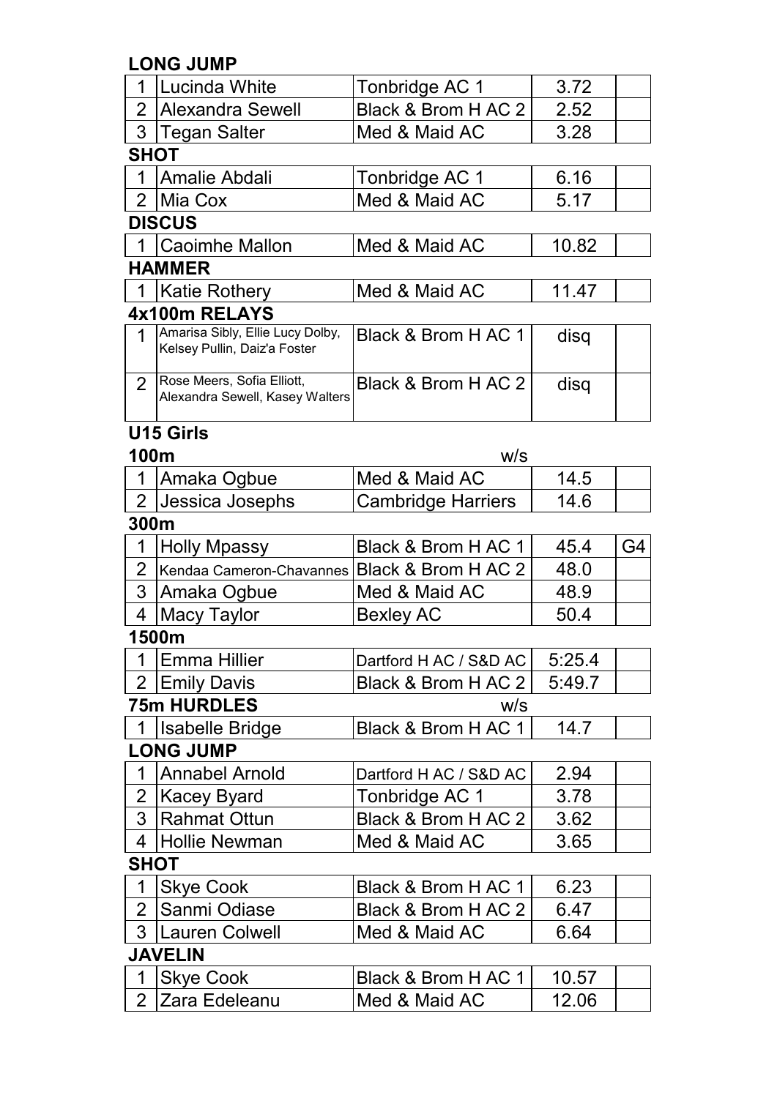**LONG JUMP**

| 1              | Lucinda White                                                    | Tonbridge AC 1            | 3.72   |    |
|----------------|------------------------------------------------------------------|---------------------------|--------|----|
| $\overline{2}$ | Alexandra Sewell                                                 | Black & Brom H AC 2       | 2.52   |    |
| 3              | <b>Tegan Salter</b>                                              | Med & Maid AC             | 3.28   |    |
| <b>SHOT</b>    |                                                                  |                           |        |    |
| 1              | Amalie Abdali                                                    | Tonbridge AC 1            | 6.16   |    |
| $\overline{2}$ | Mia Cox                                                          | Med & Maid AC             | 5.17   |    |
|                | <b>DISCUS</b>                                                    |                           |        |    |
|                | <b>Caoimhe Mallon</b>                                            | Med & Maid AC             | 10.82  |    |
|                | <b>HAMMER</b>                                                    |                           |        |    |
|                | <b>Katie Rothery</b>                                             | Med & Maid AC             | 11.47  |    |
|                | 4x100m RELAYS                                                    |                           |        |    |
| $\mathbf 1$    | Amarisa Sibly, Ellie Lucy Dolby,<br>Kelsey Pullin, Daiz'a Foster | Black & Brom H AC 1       | disq   |    |
| $\overline{2}$ | Rose Meers, Sofia Elliott,<br>Alexandra Sewell, Kasey Walters    | Black & Brom H AC 2       | disq   |    |
|                | <b>U15 Girls</b>                                                 |                           |        |    |
| 100m           |                                                                  | W/S                       |        |    |
| 1              | Amaka Ogbue                                                      | Med & Maid AC             | 14.5   |    |
| 2 <sup>1</sup> | Jessica Josephs                                                  | <b>Cambridge Harriers</b> | 14.6   |    |
| 300m           |                                                                  |                           |        |    |
| 1              | <b>Holly Mpassy</b>                                              | Black & Brom H AC 1       | 45.4   | G4 |
| $\overline{2}$ | Kendaa Cameron-Chavannes   Black & Brom H AC 2                   |                           | 48.0   |    |
| 3              | Amaka Ogbue                                                      | Med & Maid AC             | 48.9   |    |
| 4              | <b>Macy Taylor</b>                                               | <b>Bexley AC</b>          | 50.4   |    |
|                | 1500m                                                            |                           |        |    |
|                | 1 Emma Hillier                                                   | Dartford H AC / S&D AC    | 5:25.4 |    |
| $\overline{2}$ | <b>Emily Davis</b>                                               | Black & Brom H AC 2       | 5:49.7 |    |
|                | <b>75m HURDLES</b>                                               | W/S                       |        |    |
| $\mathbf 1$    | Isabelle Bridge                                                  | Black & Brom H AC 1       | 14.7   |    |
|                | <b>LONG JUMP</b>                                                 |                           |        |    |
| 1              | <b>Annabel Arnold</b>                                            | Dartford H AC / S&D AC    | 2.94   |    |
| $\overline{2}$ | <b>Kacey Byard</b>                                               | Tonbridge AC 1            | 3.78   |    |
| 3              | <b>Rahmat Ottun</b>                                              | Black & Brom H AC 2       | 3.62   |    |
| 4              | Hollie Newman                                                    | Med & Maid AC             | 3.65   |    |
| <b>SHOT</b>    |                                                                  |                           |        |    |
| 1              | <b>Skye Cook</b>                                                 | Black & Brom H AC 1       | 6.23   |    |
| $\overline{2}$ | Sanmi Odiase                                                     | Black & Brom H AC 2       | 6.47   |    |
| 3              | <b>Lauren Colwell</b>                                            | Med & Maid AC             | 6.64   |    |
|                | <b>JAVELIN</b>                                                   |                           |        |    |
| 1              | <b>Skye Cook</b>                                                 | Black & Brom H AC 1       | 10.57  |    |
| $\overline{2}$ | Zara Edeleanu                                                    | Med & Maid AC             | 12.06  |    |